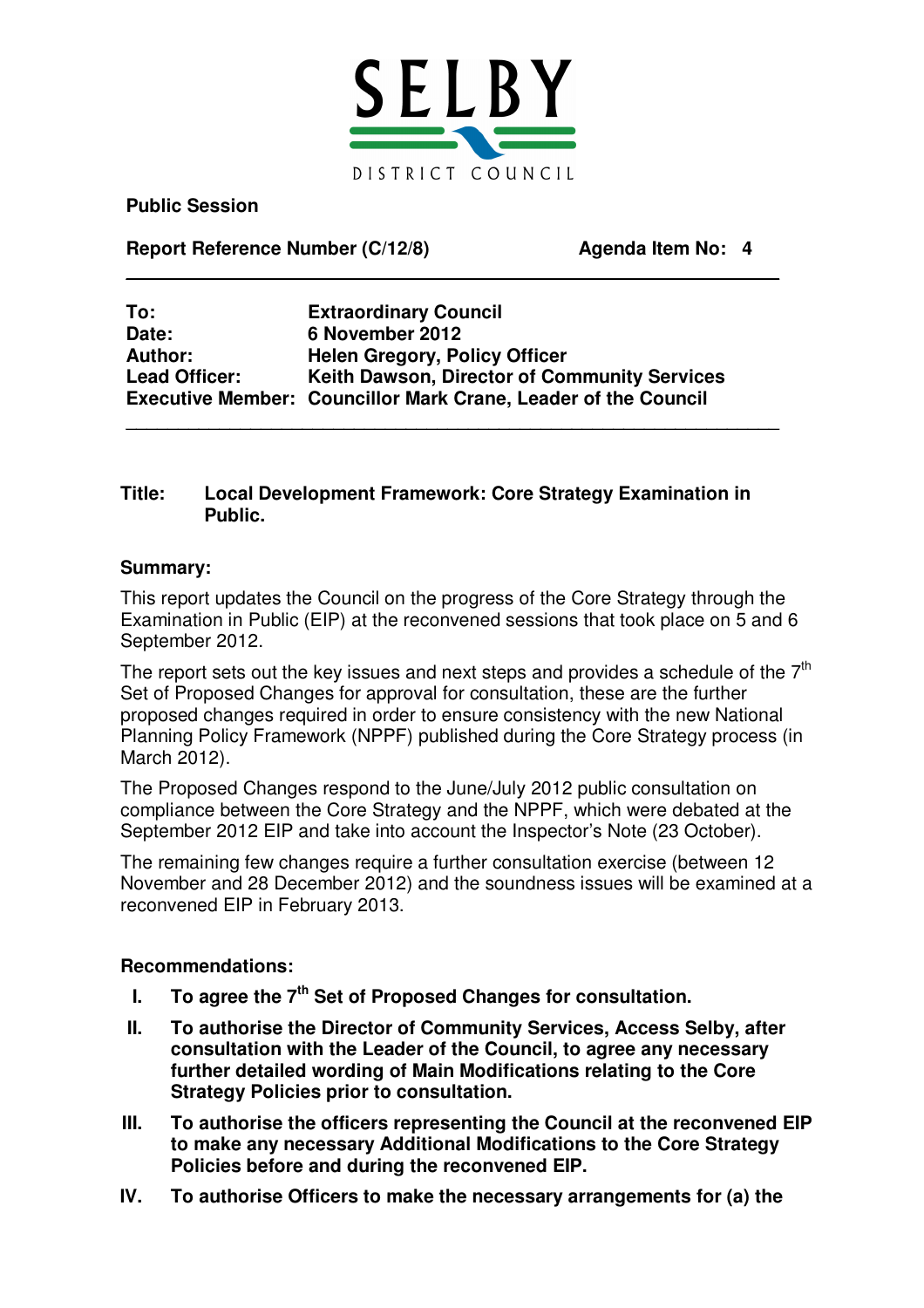

 $\mathcal{L}_\text{max}$  , and the contract of the contract of the contract of the contract of the contract of the contract of the contract of the contract of the contract of the contract of the contract of the contract of the contr

 $\mathcal{L}_\text{max}$  , and the contract of the contract of the contract of the contract of the contract of the contract of the contract of the contract of the contract of the contract of the contract of the contract of the contr

**Public Session**

**Report Reference Number (C/12/8) Agenda Item No: 4**

**To: Extraordinary Council Date: 6 November 2012 Author: Helen Gregory, Policy Officer Lead Officer: Keith Dawson, Director of Community Services Executive Member: Councillor Mark Crane, Leader of the Council**

#### **Title: Local Development Framework: Core Strategy Examination in Public.**

#### **Summary:**

This report updates the Council on the progress of the Core Strategy through the Examination in Public (EIP) at the reconvened sessions that took place on 5 and 6 September 2012.

The report sets out the key issues and next steps and provides a schedule of the  $7<sup>th</sup>$ Set of Proposed Changes for approval for consultation, these are the further proposed changes required in order to ensure consistency with the new National Planning Policy Framework (NPPF) published during the Core Strategy process (in March 2012).

The Proposed Changes respond to the June/July 2012 public consultation on compliance between the Core Strategy and the NPPF, which were debated at the September 2012 EIP and take into account the Inspector's Note (23 October).

The remaining few changes require a further consultation exercise (between 12 November and 28 December 2012) and the soundness issues will be examined at a reconvened EIP in February 2013.

#### **Recommendations:**

- **I. To agree the 7 th Set of Proposed Changes for consultation.**
- **II. To authorise the Director of Community Services, Access Selby, after consultation with the Leader of the Council, to agree any necessary further detailed wording of Main Modifications relating to the Core Strategy Policies prior to consultation.**
- **III. To authorise the officers representing the Council at the reconvened EIP to make any necessary Additional Modifications to the Core Strategy Policies before and during the reconvened EIP.**
- **IV. To authorise Officers to make the necessary arrangements for (a) the**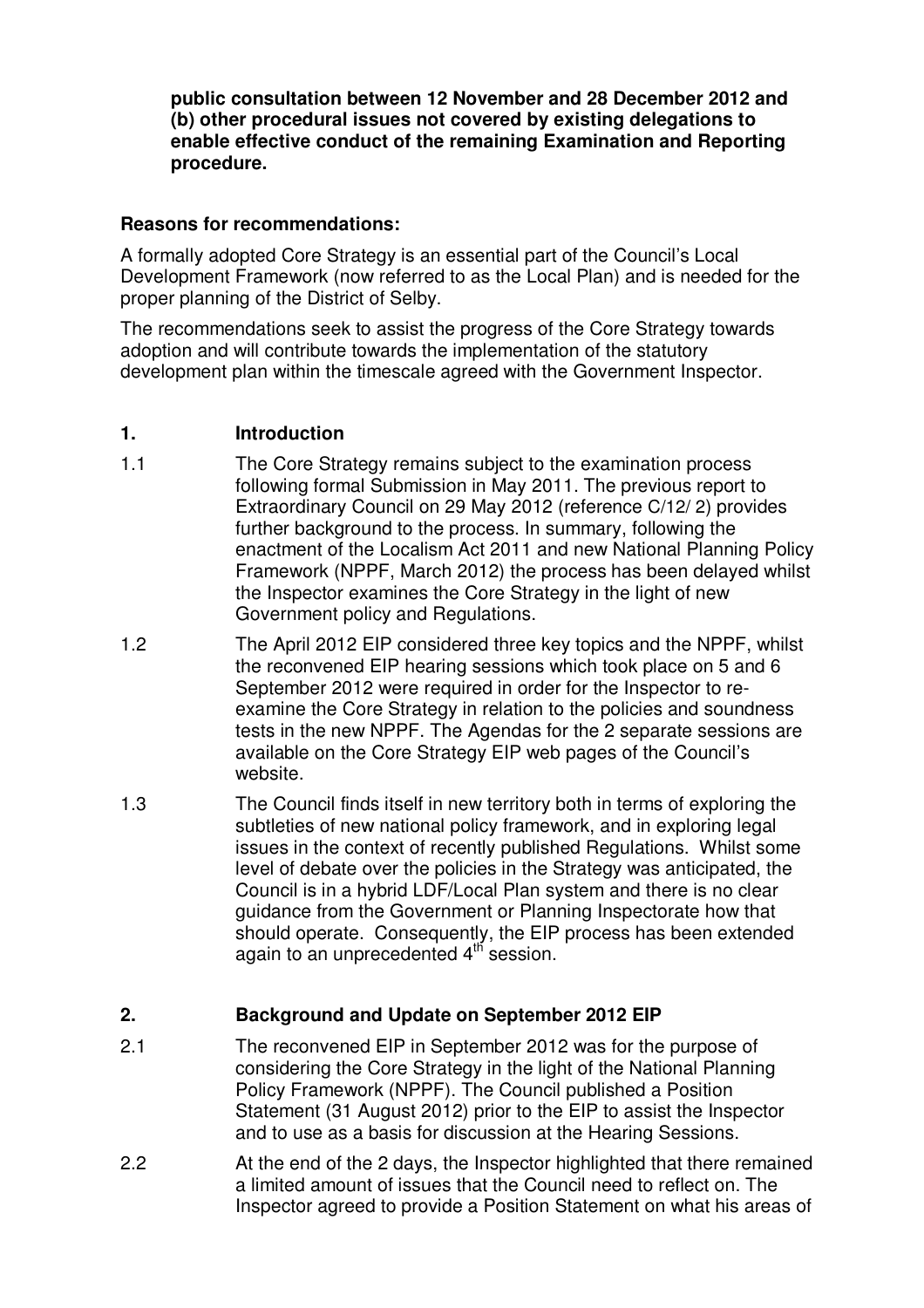**public consultation between 12 November and 28 December 2012 and (b) other procedural issues not covered by existing delegations to enable effective conduct of the remaining Examination and Reporting procedure.**

#### **Reasons for recommendations:**

A formally adopted Core Strategy is an essential part of the Council's Local Development Framework (now referred to as the Local Plan) and is needed for the proper planning of the District of Selby.

The recommendations seek to assist the progress of the Core Strategy towards adoption and will contribute towards the implementation of the statutory development plan within the timescale agreed with the Government Inspector.

#### **1. Introduction**

- 1.1 The Core Strategy remains subject to the examination process following formal Submission in May 2011. The previous report to Extraordinary Council on 29 May 2012 (reference C/12/ 2) provides further background to the process. In summary, following the enactment of the Localism Act 2011 and new National Planning Policy Framework (NPPF, March 2012) the process has been delayed whilst the Inspector examines the Core Strategy in the light of new Government policy and Regulations.
- 1.2 The April 2012 EIP considered three key topics and the NPPF, whilst the reconvened EIP hearing sessions which took place on 5 and 6 September 2012 were required in order for the Inspector to reexamine the Core Strategy in relation to the policies and soundness tests in the new NPPF. The Agendas for the 2 separate sessions are available on the Core Strategy EIP web pages of the Council's website.
- 1.3 The Council finds itself in new territory both in terms of exploring the subtleties of new national policy framework, and in exploring legal issues in the context of recently published Regulations. Whilst some level of debate over the policies in the Strategy was anticipated, the Council is in a hybrid LDF/Local Plan system and there is no clear guidance from the Government or Planning Inspectorate how that should operate. Consequently, the EIP process has been extended again to an unprecedented 4<sup>th</sup> session.

#### **2. Background and Update on September 2012 EIP**

- 2.1 The reconvened EIP in September 2012 was for the purpose of considering the Core Strategy in the light of the National Planning Policy Framework (NPPF). The Council published a Position Statement (31 August 2012) prior to the EIP to assist the Inspector and to use as a basis for discussion at the Hearing Sessions.
- 2.2 At the end of the 2 days, the Inspector highlighted that there remained a limited amount of issues that the Council need to reflect on. The Inspector agreed to provide a Position Statement on what his areas of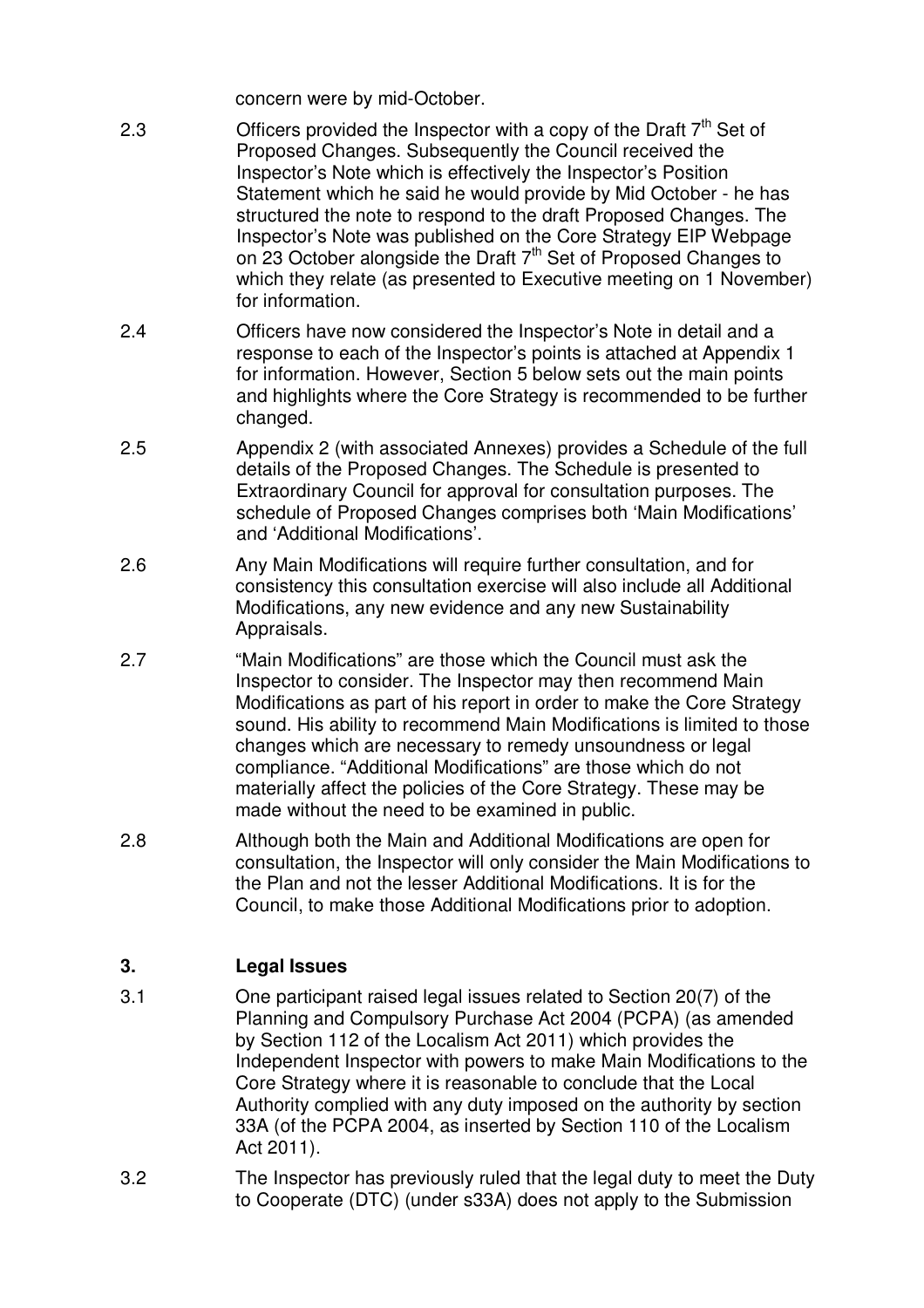concern were by mid-October.

- 2.3  $\blacksquare$  Officers provided the Inspector with a copy of the Draft  $7<sup>th</sup>$  Set of Proposed Changes. Subsequently the Council received the Inspector's Note which is effectively the Inspector's Position Statement which he said he would provide by Mid October - he has structured the note to respond to the draft Proposed Changes. The Inspector's Note was published on the Core Strategy EIP Webpage on 23 October alongside the Draft 7<sup>th</sup> Set of Proposed Changes to which they relate (as presented to Executive meeting on 1 November) for information.
- 2.4 Officers have now considered the Inspector's Note in detail and a response to each of the Inspector's points is attached at Appendix 1 for information. However, Section 5 below sets out the main points and highlights where the Core Strategy is recommended to be further changed.
- 2.5 Appendix 2 (with associated Annexes) provides a Schedule of the full details of the Proposed Changes. The Schedule is presented to Extraordinary Council for approval for consultation purposes. The schedule of Proposed Changes comprises both 'Main Modifications' and 'Additional Modifications'.
- 2.6 Any Main Modifications will require further consultation, and for consistency this consultation exercise will also include all Additional Modifications, any new evidence and any new Sustainability Appraisals.
- 2.7 "Main Modifications" are those which the Council must ask the Inspector to consider. The Inspector may then recommend Main Modifications as part of his report in order to make the Core Strategy sound. His ability to recommend Main Modifications is limited to those changes which are necessary to remedy unsoundness or legal compliance. "Additional Modifications" are those which do not materially affect the policies of the Core Strategy. These may be made without the need to be examined in public.
- 2.8 Although both the Main and Additional Modifications are open for consultation, the Inspector will only consider the Main Modifications to the Plan and not the lesser Additional Modifications. It is for the Council, to make those Additional Modifications prior to adoption.

# **3. Legal Issues**

- 3.1 One participant raised legal issues related to Section 20(7) of the Planning and Compulsory Purchase Act 2004 (PCPA) (as amended by Section 112 of the Localism Act 2011) which provides the Independent Inspector with powers to make Main Modifications to the Core Strategy where it is reasonable to conclude that the Local Authority complied with any duty imposed on the authority by section 33A (of the PCPA 2004, as inserted by Section 110 of the Localism Act 2011).
- 3.2 The Inspector has previously ruled that the legal duty to meet the Duty to Cooperate (DTC) (under s33A) does not apply to the Submission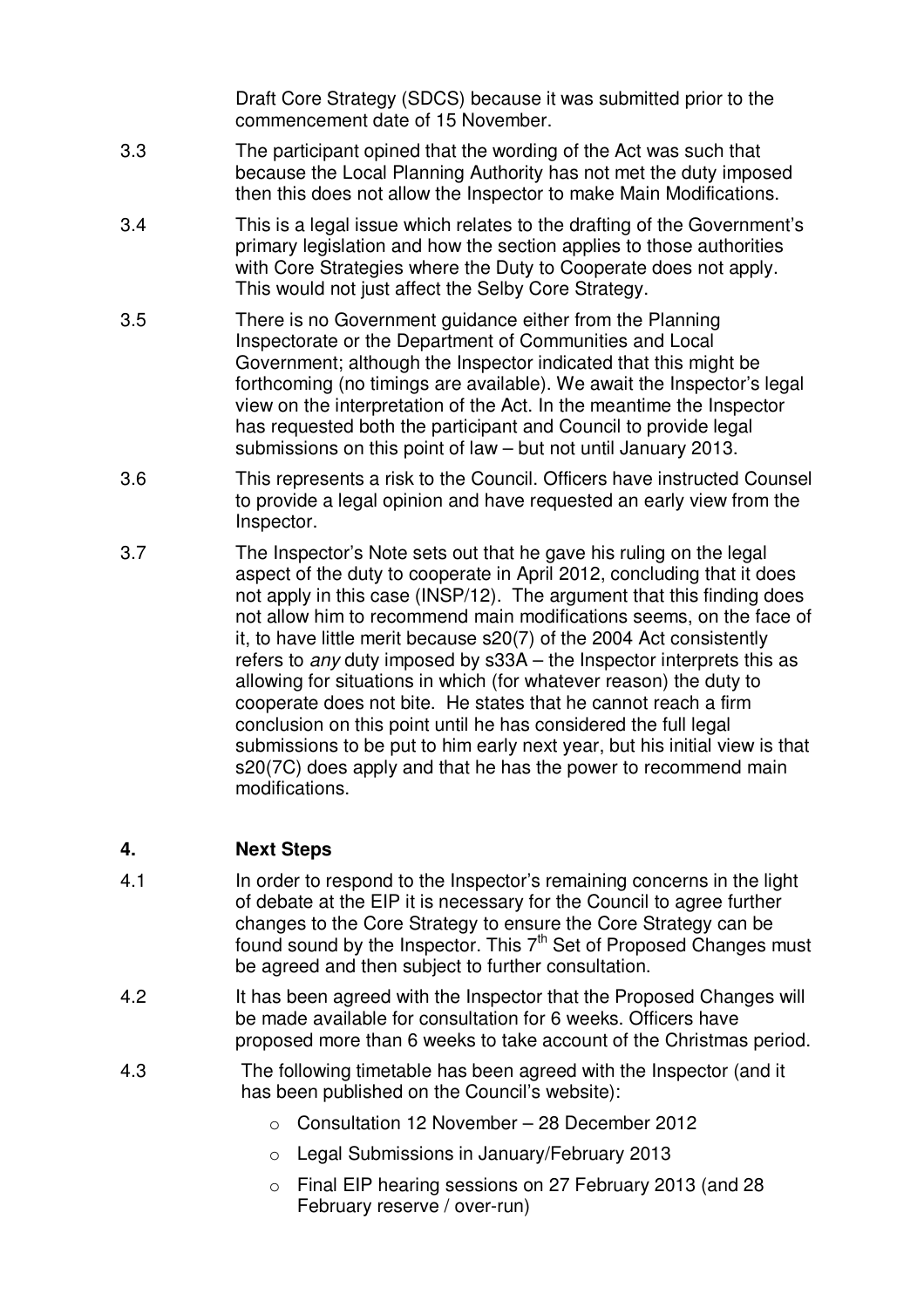Draft Core Strategy (SDCS) because it was submitted prior to the commencement date of 15 November.

- 3.3 The participant opined that the wording of the Act was such that because the Local Planning Authority has not met the duty imposed then this does not allow the Inspector to make Main Modifications.
- 3.4 This is a legal issue which relates to the drafting of the Government's primary legislation and how the section applies to those authorities with Core Strategies where the Duty to Cooperate does not apply. This would not just affect the Selby Core Strategy.
- 3.5 There is no Government guidance either from the Planning Inspectorate or the Department of Communities and Local Government; although the Inspector indicated that this might be forthcoming (no timings are available). We await the Inspector's legal view on the interpretation of the Act. In the meantime the Inspector has requested both the participant and Council to provide legal submissions on this point of law – but not until January 2013.
- 3.6 This represents a risk to the Council. Officers have instructed Counsel to provide a legal opinion and have requested an early view from the Inspector.
- 3.7 The Inspector's Note sets out that he gave his ruling on the legal aspect of the duty to cooperate in April 2012, concluding that it does not apply in this case (INSP/12). The argument that this finding does not allow him to recommend main modifications seems, on the face of it, to have little merit because s20(7) of the 2004 Act consistently refers to *any* duty imposed by s33A – the Inspector interprets this as allowing for situations in which (for whatever reason) the duty to cooperate does not bite. He states that he cannot reach a firm conclusion on this point until he has considered the full legal submissions to be put to him early next year, but his initial view is that s20(7C) does apply and that he has the power to recommend main modifications.

## **4. Next Steps**

- 4.1 In order to respond to the Inspector's remaining concerns in the light of debate at the EIP it is necessary for the Council to agree further changes to the Core Strategy to ensure the Core Strategy can be found sound by the Inspector. This  $7<sup>th</sup>$  Set of Proposed Changes must be agreed and then subject to further consultation.
- 4.2 It has been agreed with the Inspector that the Proposed Changes will be made available for consultation for 6 weeks. Officers have proposed more than 6 weeks to take account of the Christmas period.
- 4.3 The following timetable has been agreed with the Inspector (and it has been published on the Council's website):
	- o Consultation 12 November 28 December 2012
	- o Legal Submissions in January/February 2013
	- o Final EIP hearing sessions on 27 February 2013 (and 28 February reserve / over-run)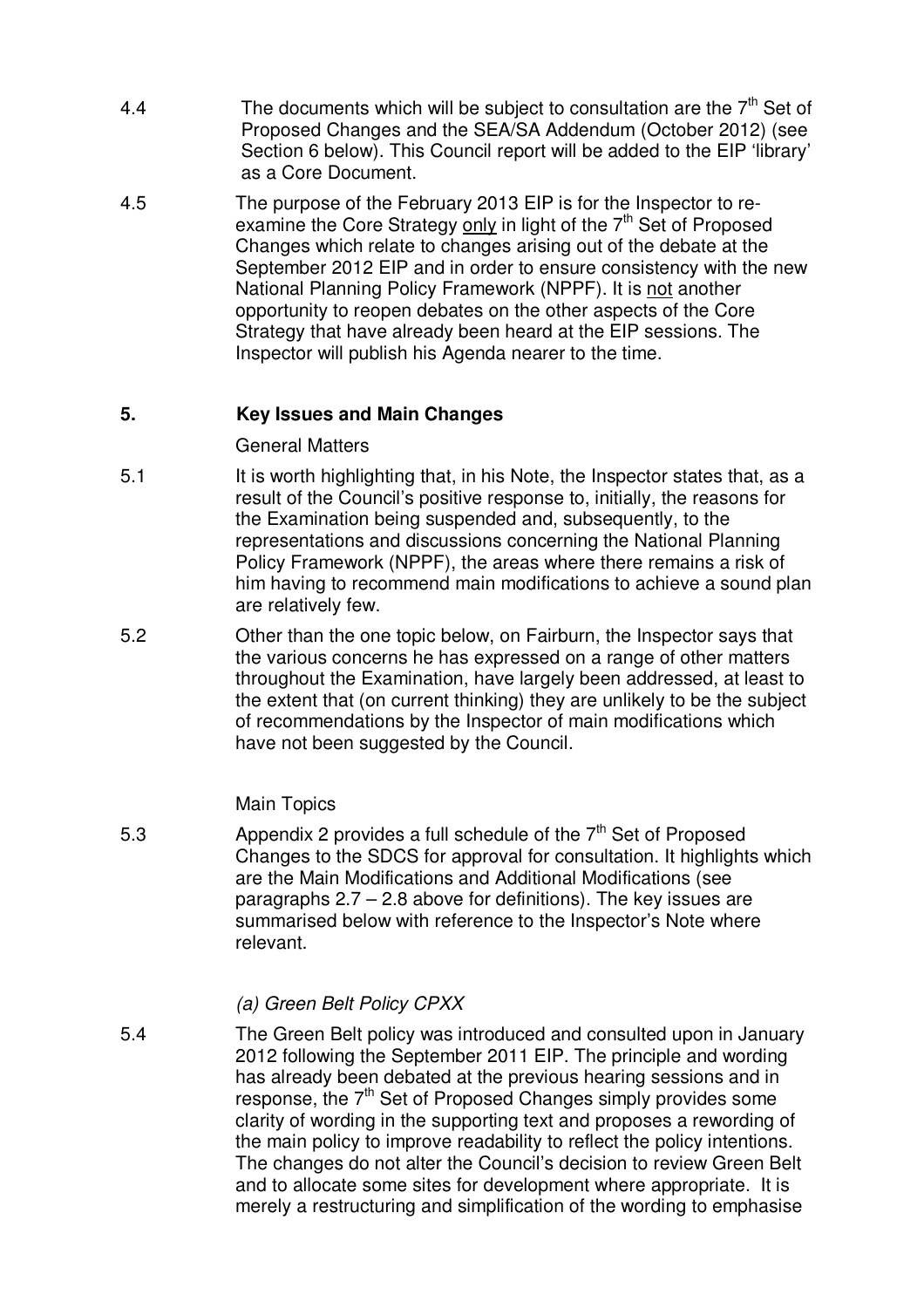- 4.4 The documents which will be subject to consultation are the  $7<sup>th</sup>$  Set of Proposed Changes and the SEA/SA Addendum (October 2012) (see Section 6 below). This Council report will be added to the EIP 'library' as a Core Document.
- 4.5 The purpose of the February 2013 EIP is for the Inspector to reexamine the Core Strategy only in light of the 7<sup>th</sup> Set of Proposed Changes which relate to changes arising out of the debate at the September 2012 EIP and in order to ensure consistency with the new National Planning Policy Framework (NPPF). It is not another opportunity to reopen debates on the other aspects of the Core Strategy that have already been heard at the EIP sessions. The Inspector will publish his Agenda nearer to the time.

#### **5. Key Issues and Main Changes**

General Matters

- 5.1 It is worth highlighting that, in his Note, the Inspector states that, as a result of the Council's positive response to, initially, the reasons for the Examination being suspended and, subsequently, to the representations and discussions concerning the National Planning Policy Framework (NPPF), the areas where there remains a risk of him having to recommend main modifications to achieve a sound plan are relatively few.
- 5.2 Other than the one topic below, on Fairburn, the Inspector says that the various concerns he has expressed on a range of other matters throughout the Examination, have largely been addressed, at least to the extent that (on current thinking) they are unlikely to be the subject of recommendations by the Inspector of main modifications which have not been suggested by the Council.

#### Main Topics

5.3  $\blacksquare$  Appendix 2 provides a full schedule of the  $7<sup>th</sup>$  Set of Proposed Changes to the SDCS for approval for consultation. It highlights which are the Main Modifications and Additional Modifications (see paragraphs 2.7 – 2.8 above for definitions). The key issues are summarised below with reference to the Inspector's Note where relevant.

#### *(a) Green Belt Policy CPXX*

5.4 The Green Belt policy was introduced and consulted upon in January 2012 following the September 2011 EIP. The principle and wording has already been debated at the previous hearing sessions and in response, the 7<sup>th</sup> Set of Proposed Changes simply provides some clarity of wording in the supporting text and proposes a rewording of the main policy to improve readability to reflect the policy intentions. The changes do not alter the Council's decision to review Green Belt and to allocate some sites for development where appropriate. It is merely a restructuring and simplification of the wording to emphasise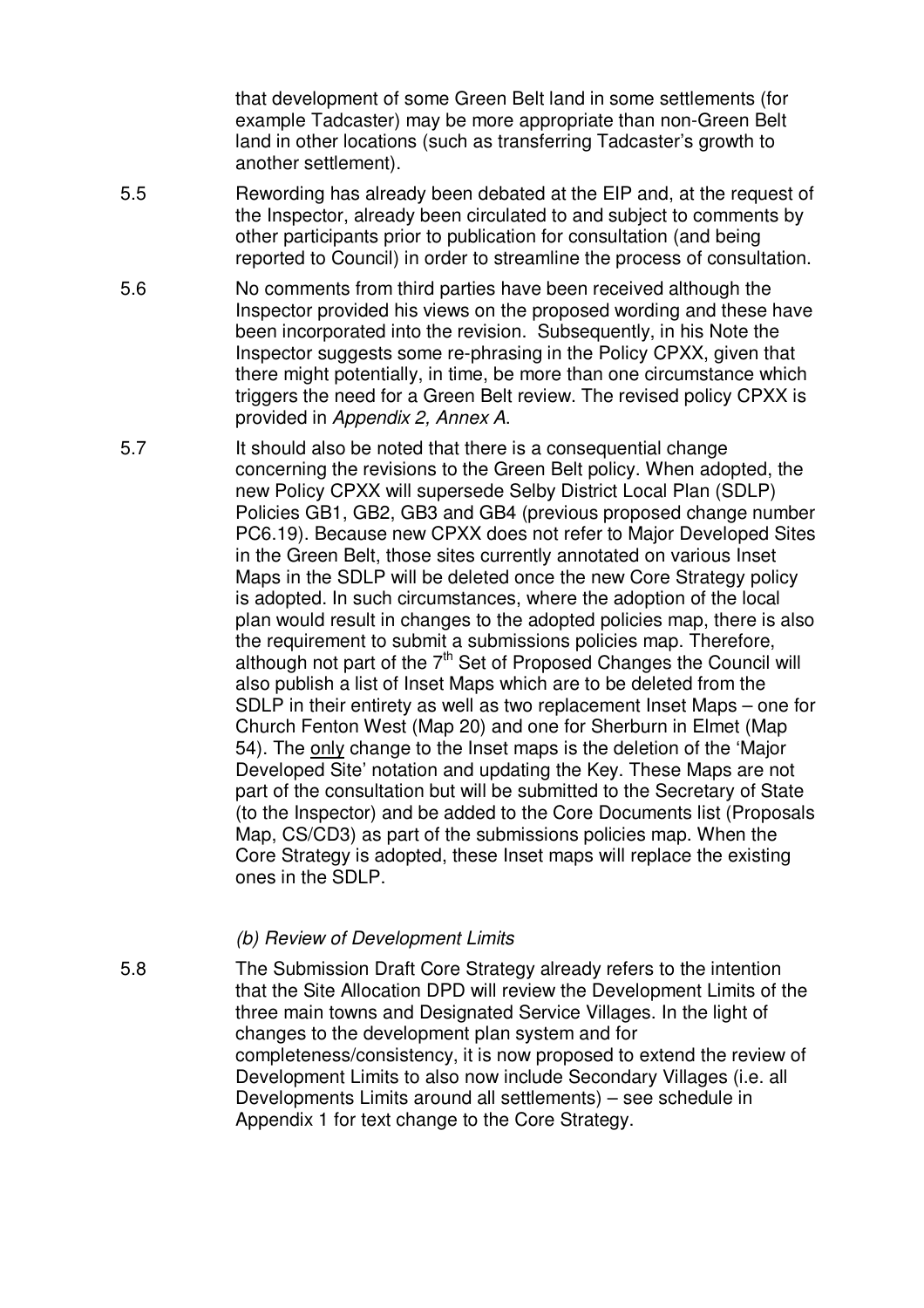that development of some Green Belt land in some settlements (for example Tadcaster) may be more appropriate than non-Green Belt land in other locations (such as transferring Tadcaster's growth to another settlement).

- 5.5 Rewording has already been debated at the EIP and, at the request of the Inspector, already been circulated to and subject to comments by other participants prior to publication for consultation (and being reported to Council) in order to streamline the process of consultation.
- 5.6 No comments from third parties have been received although the Inspector provided his views on the proposed wording and these have been incorporated into the revision. Subsequently, in his Note the Inspector suggests some re-phrasing in the Policy CPXX, given that there might potentially, in time, be more than one circumstance which triggers the need for a Green Belt review. The revised policy CPXX is provided in *Appendix 2, Annex A*.
- 5.7 It should also be noted that there is a consequential change concerning the revisions to the Green Belt policy. When adopted, the new Policy CPXX will supersede Selby District Local Plan (SDLP) Policies GB1, GB2, GB3 and GB4 (previous proposed change number PC6.19). Because new CPXX does not refer to Major Developed Sites in the Green Belt, those sites currently annotated on various Inset Maps in the SDLP will be deleted once the new Core Strategy policy is adopted. In such circumstances, where the adoption of the local plan would result in changes to the adopted policies map, there is also the requirement to submit a submissions policies map. Therefore, although not part of the  $7<sup>th</sup>$  Set of Proposed Changes the Council will also publish a list of Inset Maps which are to be deleted from the SDLP in their entirety as well as two replacement Inset Maps – one for Church Fenton West (Map 20) and one for Sherburn in Elmet (Map 54). The only change to the Inset maps is the deletion of the 'Major Developed Site' notation and updating the Key. These Maps are not part of the consultation but will be submitted to the Secretary of State (to the Inspector) and be added to the Core Documents list (Proposals Map, CS/CD3) as part of the submissions policies map. When the Core Strategy is adopted, these Inset maps will replace the existing ones in the SDLP.

#### *(b) Review of Development Limits*

5.8 The Submission Draft Core Strategy already refers to the intention that the Site Allocation DPD will review the Development Limits of the three main towns and Designated Service Villages. In the light of changes to the development plan system and for completeness/consistency, it is now proposed to extend the review of Development Limits to also now include Secondary Villages (i.e. all Developments Limits around all settlements) – see schedule in Appendix 1 for text change to the Core Strategy.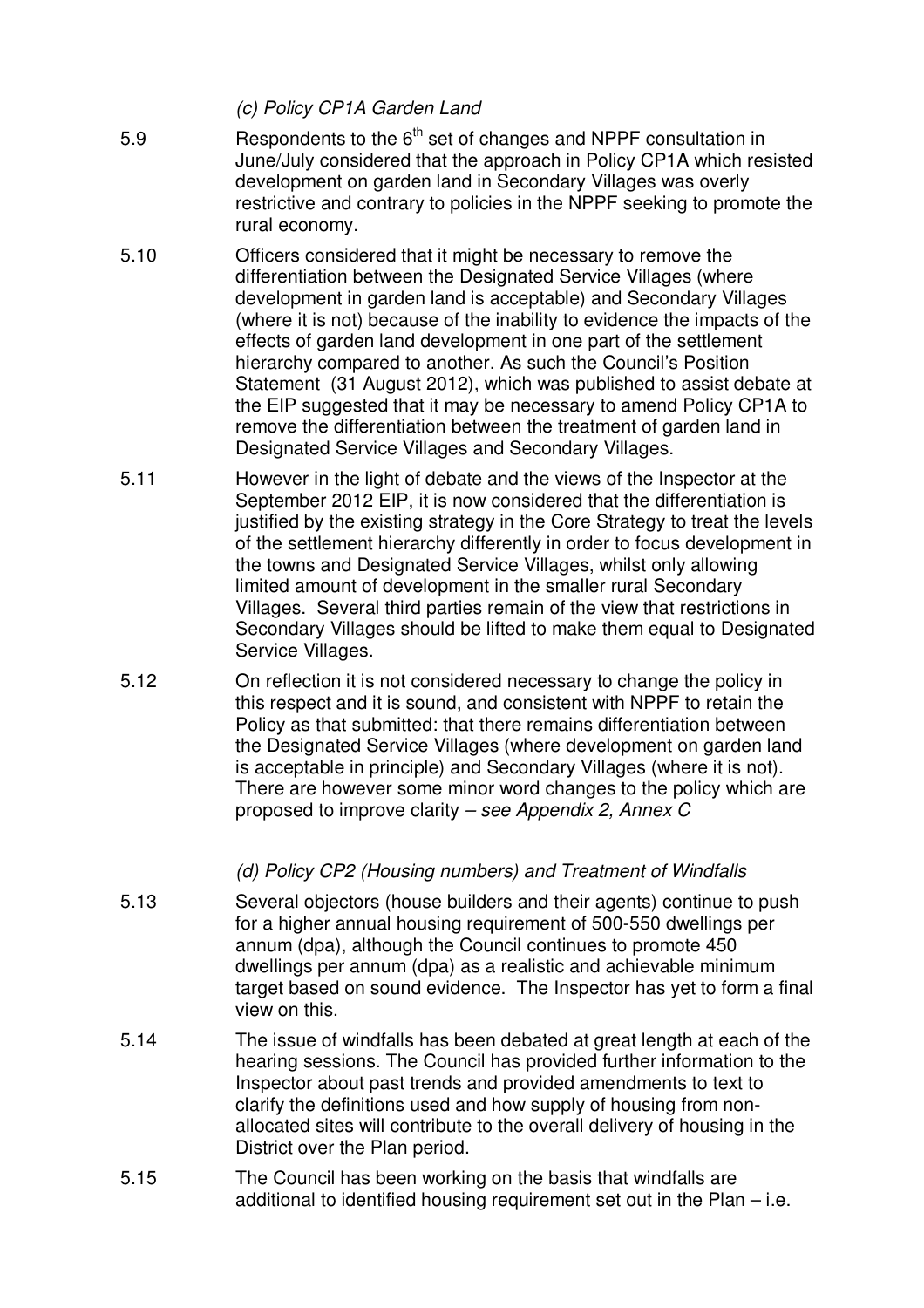*(c) Policy CP1A Garden Land*

- 5.9 **Respondents to the 6<sup>th</sup> set of changes and NPPF consultation in** June/July considered that the approach in Policy CP1A which resisted development on garden land in Secondary Villages was overly restrictive and contrary to policies in the NPPF seeking to promote the rural economy.
- 5.10 Officers considered that it might be necessary to remove the differentiation between the Designated Service Villages (where development in garden land is acceptable) and Secondary Villages (where it is not) because of the inability to evidence the impacts of the effects of garden land development in one part of the settlement hierarchy compared to another. As such the Council's Position Statement (31 August 2012), which was published to assist debate at the EIP suggested that it may be necessary to amend Policy CP1A to remove the differentiation between the treatment of garden land in Designated Service Villages and Secondary Villages.
- 5.11 However in the light of debate and the views of the Inspector at the September 2012 EIP, it is now considered that the differentiation is justified by the existing strategy in the Core Strategy to treat the levels of the settlement hierarchy differently in order to focus development in the towns and Designated Service Villages, whilst only allowing limited amount of development in the smaller rural Secondary Villages. Several third parties remain of the view that restrictions in Secondary Villages should be lifted to make them equal to Designated Service Villages.
- 5.12 On reflection it is not considered necessary to change the policy in this respect and it is sound, and consistent with NPPF to retain the Policy as that submitted: that there remains differentiation between the Designated Service Villages (where development on garden land is acceptable in principle) and Secondary Villages (where it is not). There are however some minor word changes to the policy which are proposed to improve clarity *– see Appendix 2, Annex C*

#### *(d) Policy CP2 (Housing numbers) and Treatment of Windfalls*

- 5.13 Several objectors (house builders and their agents) continue to push for a higher annual housing requirement of 500-550 dwellings per annum (dpa), although the Council continues to promote 450 dwellings per annum (dpa) as a realistic and achievable minimum target based on sound evidence. The Inspector has yet to form a final view on this.
- 5.14 The issue of windfalls has been debated at great length at each of the hearing sessions. The Council has provided further information to the Inspector about past trends and provided amendments to text to clarify the definitions used and how supply of housing from nonallocated sites will contribute to the overall delivery of housing in the District over the Plan period.
- 5.15 The Council has been working on the basis that windfalls are additional to identified housing requirement set out in the Plan – i.e.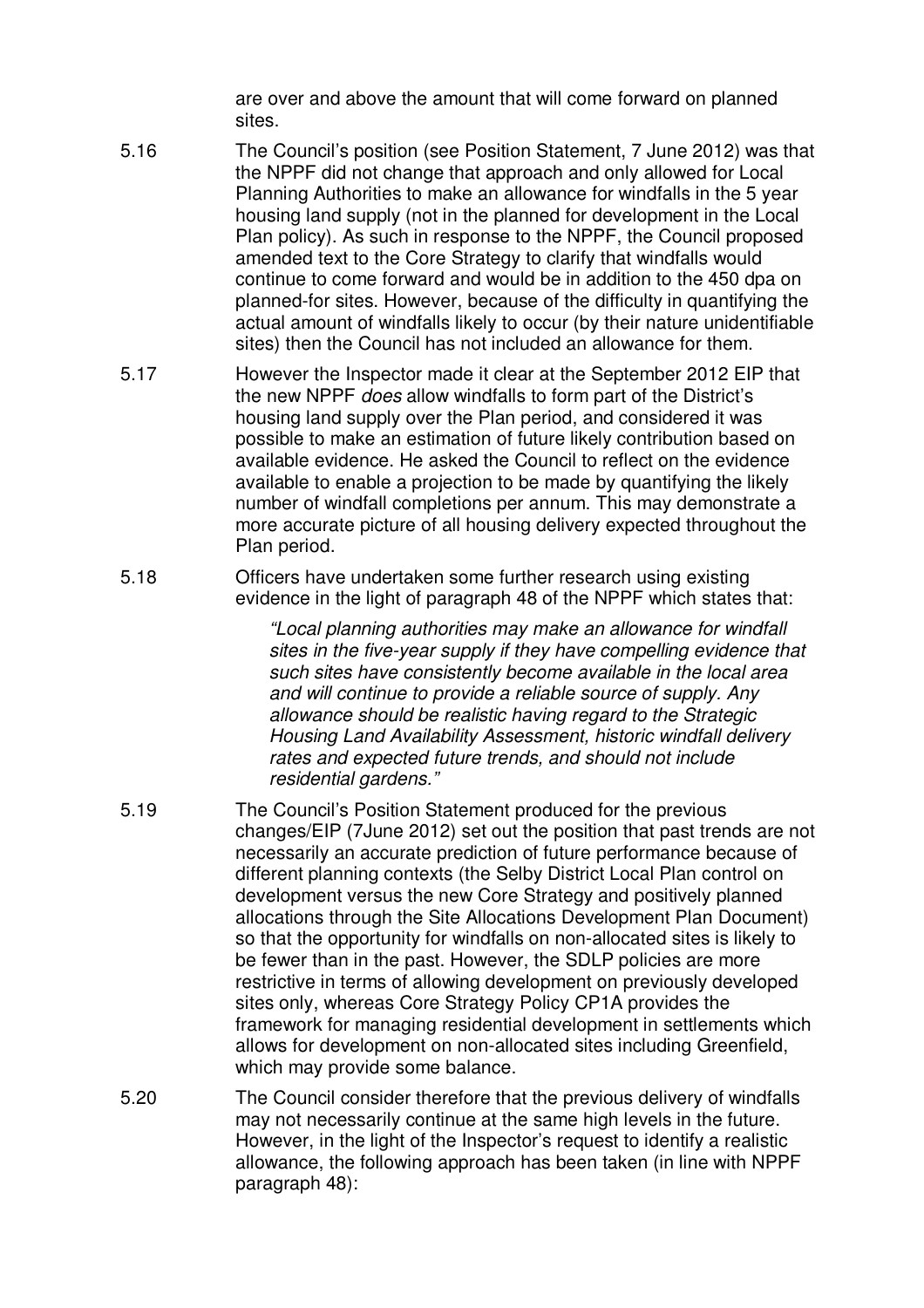are over and above the amount that will come forward on planned sites.

- 5.16 The Council's position (see Position Statement, 7 June 2012) was that the NPPF did not change that approach and only allowed for Local Planning Authorities to make an allowance for windfalls in the 5 year housing land supply (not in the planned for development in the Local Plan policy). As such in response to the NPPF, the Council proposed amended text to the Core Strategy to clarify that windfalls would continue to come forward and would be in addition to the 450 dpa on planned-for sites. However, because of the difficulty in quantifying the actual amount of windfalls likely to occur (by their nature unidentifiable sites) then the Council has not included an allowance for them.
- 5.17 However the Inspector made it clear at the September 2012 EIP that the new NPPF *does* allow windfalls to form part of the District's housing land supply over the Plan period, and considered it was possible to make an estimation of future likely contribution based on available evidence. He asked the Council to reflect on the evidence available to enable a projection to be made by quantifying the likely number of windfall completions per annum. This may demonstrate a more accurate picture of all housing delivery expected throughout the Plan period.
- 5.18 Officers have undertaken some further research using existing evidence in the light of paragraph 48 of the NPPF which states that:

*"Local planning authorities may make an allowance for windfall sites in the five-year supply if they have compelling evidence that such sites have consistently become available in the local area and will continue to provide a reliable source of supply. Any allowance should be realistic having regard to the Strategic Housing Land Availability Assessment, historic windfall delivery rates and expected future trends, and should not include residential gardens."*

- 5.19 The Council's Position Statement produced for the previous changes/EIP (7June 2012) set out the position that past trends are not necessarily an accurate prediction of future performance because of different planning contexts (the Selby District Local Plan control on development versus the new Core Strategy and positively planned allocations through the Site Allocations Development Plan Document) so that the opportunity for windfalls on non-allocated sites is likely to be fewer than in the past. However, the SDLP policies are more restrictive in terms of allowing development on previously developed sites only, whereas Core Strategy Policy CP1A provides the framework for managing residential development in settlements which allows for development on non-allocated sites including Greenfield, which may provide some balance.
- 5.20 The Council consider therefore that the previous delivery of windfalls may not necessarily continue at the same high levels in the future. However, in the light of the Inspector's request to identify a realistic allowance, the following approach has been taken (in line with NPPF paragraph 48):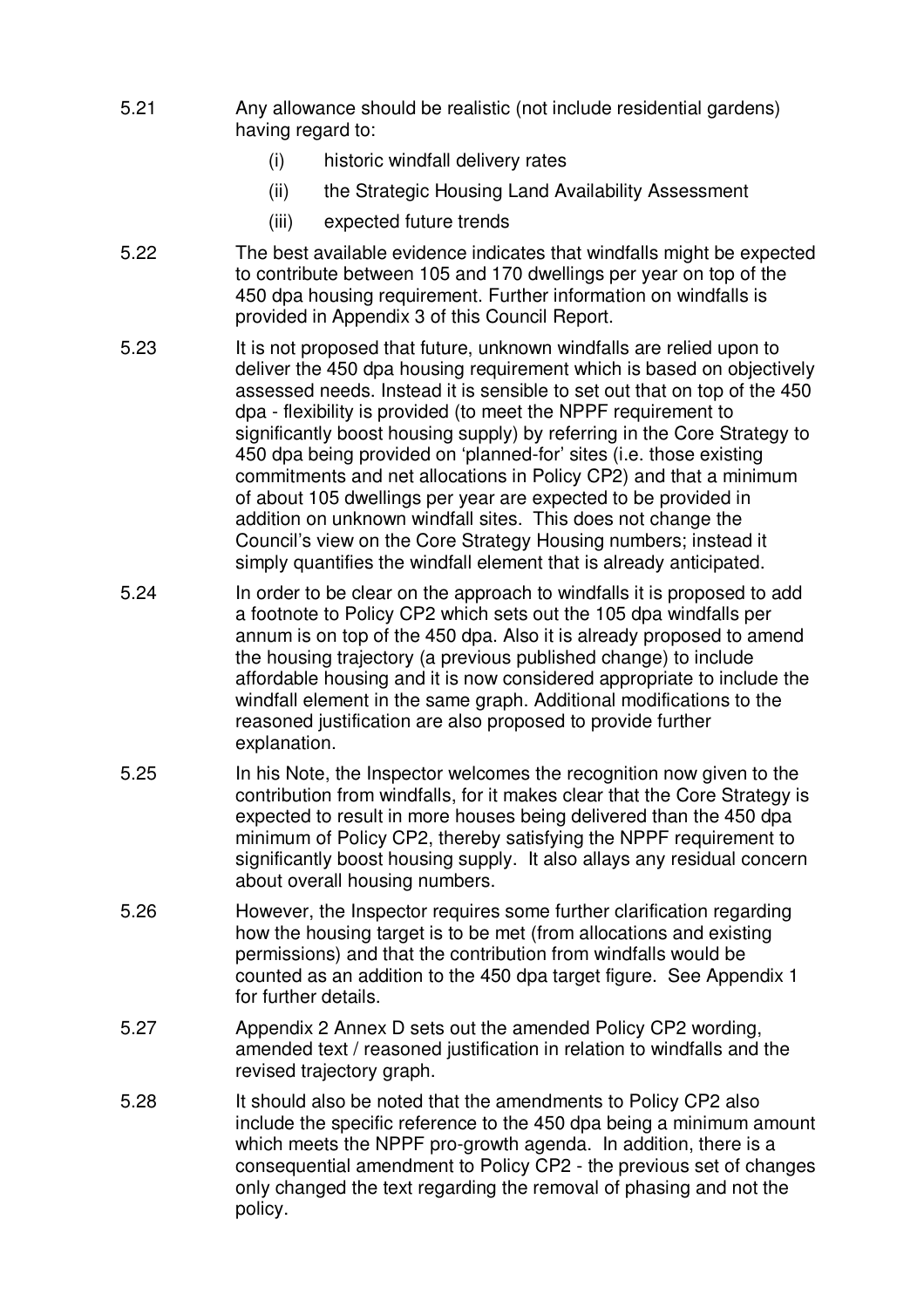- 5.21 Any allowance should be realistic (not include residential gardens) having regard to:
	- (i) historic windfall delivery rates
	- (ii) the Strategic Housing Land Availability Assessment
	- (iii) expected future trends
- 5.22 The best available evidence indicates that windfalls might be expected to contribute between 105 and 170 dwellings per year on top of the 450 dpa housing requirement. Further information on windfalls is provided in Appendix 3 of this Council Report.
- 5.23 It is not proposed that future, unknown windfalls are relied upon to deliver the 450 dpa housing requirement which is based on objectively assessed needs. Instead it is sensible to set out that on top of the 450 dpa - flexibility is provided (to meet the NPPF requirement to significantly boost housing supply) by referring in the Core Strategy to 450 dpa being provided on 'planned-for' sites (i.e. those existing commitments and net allocations in Policy CP2) and that a minimum of about 105 dwellings per year are expected to be provided in addition on unknown windfall sites. This does not change the Council's view on the Core Strategy Housing numbers; instead it simply quantifies the windfall element that is already anticipated.
- 5.24 In order to be clear on the approach to windfalls it is proposed to add a footnote to Policy CP2 which sets out the 105 dpa windfalls per annum is on top of the 450 dpa. Also it is already proposed to amend the housing trajectory (a previous published change) to include affordable housing and it is now considered appropriate to include the windfall element in the same graph. Additional modifications to the reasoned justification are also proposed to provide further explanation.
- 5.25 In his Note, the Inspector welcomes the recognition now given to the contribution from windfalls, for it makes clear that the Core Strategy is expected to result in more houses being delivered than the 450 dpa minimum of Policy CP2, thereby satisfying the NPPF requirement to significantly boost housing supply. It also allays any residual concern about overall housing numbers.
- 5.26 However, the Inspector requires some further clarification regarding how the housing target is to be met (from allocations and existing permissions) and that the contribution from windfalls would be counted as an addition to the 450 dpa target figure. See Appendix 1 for further details.
- 5.27 Appendix 2 Annex D sets out the amended Policy CP2 wording, amended text / reasoned justification in relation to windfalls and the revised trajectory graph.
- 5.28 It should also be noted that the amendments to Policy CP2 also include the specific reference to the 450 dpa being a minimum amount which meets the NPPF pro-growth agenda. In addition, there is a consequential amendment to Policy CP2 - the previous set of changes only changed the text regarding the removal of phasing and not the policy.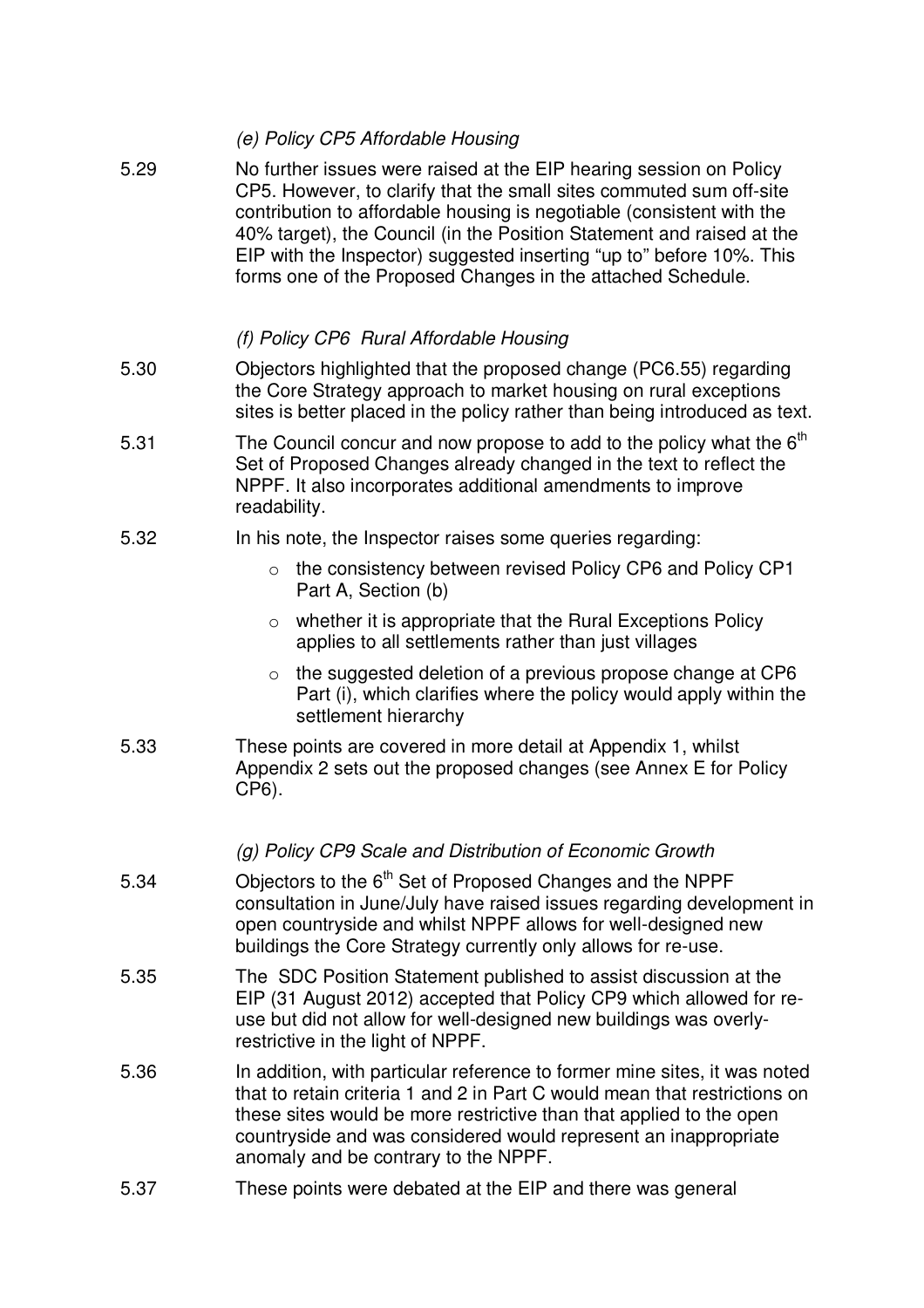| 5.29 | No further issues were raised at the EIP hearing session on Policy<br>CP5. However, to clarify that the small sites commuted sum off-site<br>contribution to affordable housing is negotiable (consistent with the<br>40% target), the Council (in the Position Statement and raised at the<br>EIP with the Inspector) suggested inserting "up to" before 10%. This<br>forms one of the Proposed Changes in the attached Schedule. |
|------|------------------------------------------------------------------------------------------------------------------------------------------------------------------------------------------------------------------------------------------------------------------------------------------------------------------------------------------------------------------------------------------------------------------------------------|
|      | (f) Policy CP6 Rural Affordable Housing                                                                                                                                                                                                                                                                                                                                                                                            |
| 5.30 | Objectors highlighted that the proposed change (PC6.55) regarding<br>the Core Strategy approach to market housing on rural exceptions<br>sites is better placed in the policy rather than being introduced as text.                                                                                                                                                                                                                |
| 5.31 | The Council concur and now propose to add to the policy what the $6th$<br>Set of Proposed Changes already changed in the text to reflect the<br>NPPF. It also incorporates additional amendments to improve<br>readability.                                                                                                                                                                                                        |
| 5.32 | In his note, the Inspector raises some queries regarding:                                                                                                                                                                                                                                                                                                                                                                          |
|      | the consistency between revised Policy CP6 and Policy CP1<br>$\circ$<br>Part A, Section (b)                                                                                                                                                                                                                                                                                                                                        |
|      | $\circ$ whether it is appropriate that the Rural Exceptions Policy<br>applies to all settlements rather than just villages                                                                                                                                                                                                                                                                                                         |
|      | the suggested deletion of a previous propose change at CP6<br>$\circ$<br>Part (i), which clarifies where the policy would apply within the<br>settlement hierarchy                                                                                                                                                                                                                                                                 |
| 5.33 | These points are covered in more detail at Appendix 1, whilst<br>Appendix 2 sets out the proposed changes (see Annex E for Policy<br>CP6).                                                                                                                                                                                                                                                                                         |
|      | (g) Policy CP9 Scale and Distribution of Economic Growth                                                                                                                                                                                                                                                                                                                                                                           |
| 5.34 | Objectors to the 6 <sup>th</sup> Set of Proposed Changes and the NPPF<br>consultation in June/July have raised issues regarding development in<br>open countryside and whilst NPPF allows for well-designed new<br>buildings the Core Strategy currently only allows for re-use.                                                                                                                                                   |
| 5.35 | The SDC Position Statement published to assist discussion at the<br>EIP (31 August 2012) accepted that Policy CP9 which allowed for re-<br>use but did not allow for well-designed new buildings was overly-<br>restrictive in the light of NPPF.                                                                                                                                                                                  |
| 5.36 | In addition, with particular reference to former mine sites, it was noted<br>that to retain criteria 1 and 2 in Part C would mean that restrictions on<br>these sites would be more restrictive than that applied to the open<br>countryside and was considered would represent an inappropriate<br>anomaly and be contrary to the NPPF.                                                                                           |
| 5.37 | These points were debated at the EIP and there was general                                                                                                                                                                                                                                                                                                                                                                         |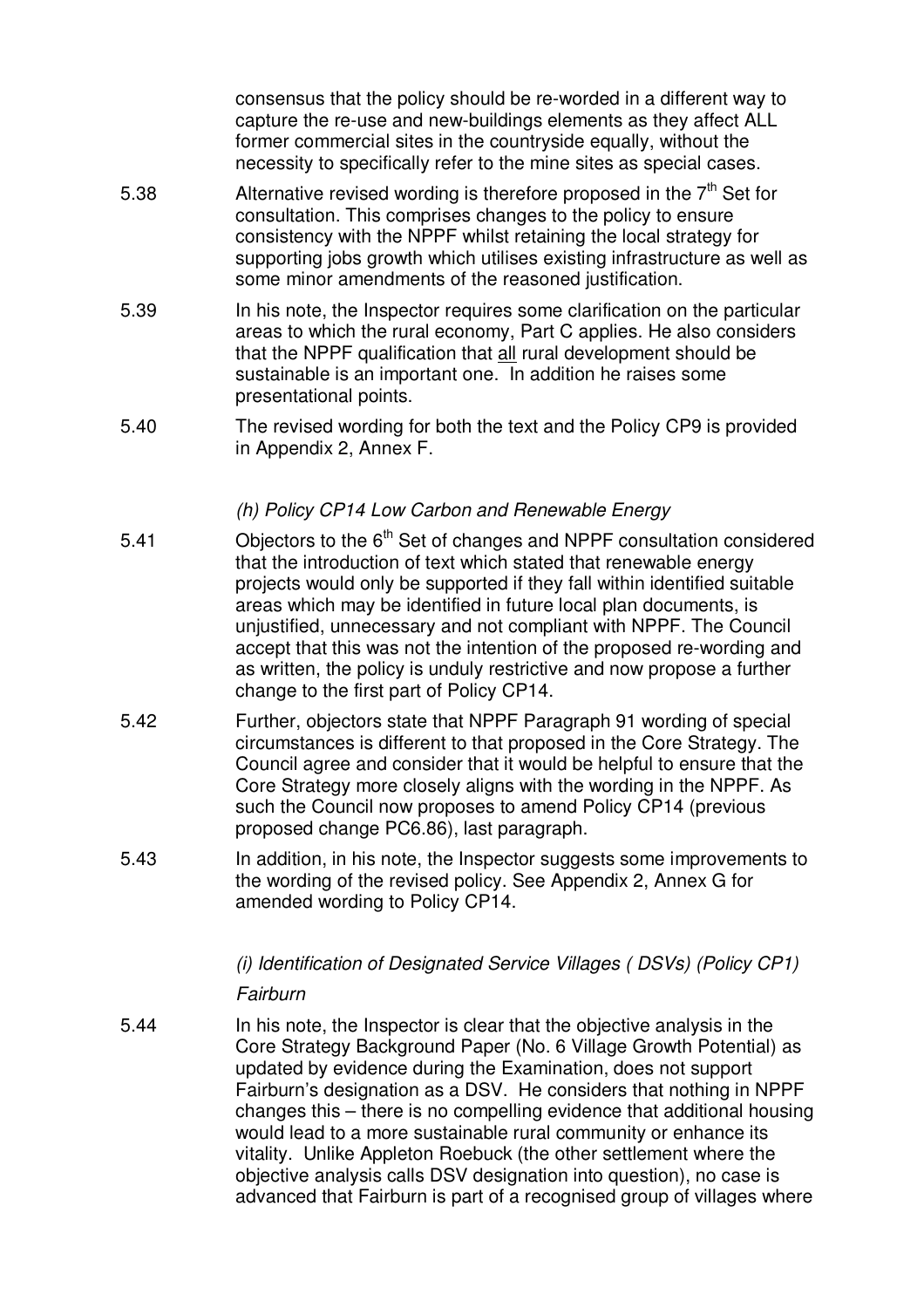consensus that the policy should be re-worded in a different way to capture the re-use and new-buildings elements as they affect ALL former commercial sites in the countryside equally, without the necessity to specifically refer to the mine sites as special cases.

- 5.38 Alternative revised wording is therefore proposed in the  $7<sup>th</sup>$  Set for consultation. This comprises changes to the policy to ensure consistency with the NPPF whilst retaining the local strategy for supporting jobs growth which utilises existing infrastructure as well as some minor amendments of the reasoned justification.
- 5.39 In his note, the Inspector requires some clarification on the particular areas to which the rural economy, Part C applies. He also considers that the NPPF qualification that all rural development should be sustainable is an important one. In addition he raises some presentational points.
- 5.40 The revised wording for both the text and the Policy CP9 is provided in Appendix 2, Annex F.

#### *(h) Policy CP14 Low Carbon and Renewable Energy*

- 5.41 Chiectors to the 6<sup>th</sup> Set of changes and NPPF consultation considered that the introduction of text which stated that renewable energy projects would only be supported if they fall within identified suitable areas which may be identified in future local plan documents, is unjustified, unnecessary and not compliant with NPPF. The Council accept that this was not the intention of the proposed re-wording and as written, the policy is unduly restrictive and now propose a further change to the first part of Policy CP14.
- 5.42 Further, objectors state that NPPF Paragraph 91 wording of special circumstances is different to that proposed in the Core Strategy. The Council agree and consider that it would be helpful to ensure that the Core Strategy more closely aligns with the wording in the NPPF. As such the Council now proposes to amend Policy CP14 (previous proposed change PC6.86), last paragraph.
- 5.43 In addition, in his note, the Inspector suggests some improvements to the wording of the revised policy. See Appendix 2, Annex G for amended wording to Policy CP14.

# *(i) Identification of Designated Service Villages ( DSVs) (Policy CP1)*

#### *Fairburn*

5.44 In his note, the Inspector is clear that the objective analysis in the Core Strategy Background Paper (No. 6 Village Growth Potential) as updated by evidence during the Examination, does not support Fairburn's designation as a DSV. He considers that nothing in NPPF changes this – there is no compelling evidence that additional housing would lead to a more sustainable rural community or enhance its vitality. Unlike Appleton Roebuck (the other settlement where the objective analysis calls DSV designation into question), no case is advanced that Fairburn is part of a recognised group of villages where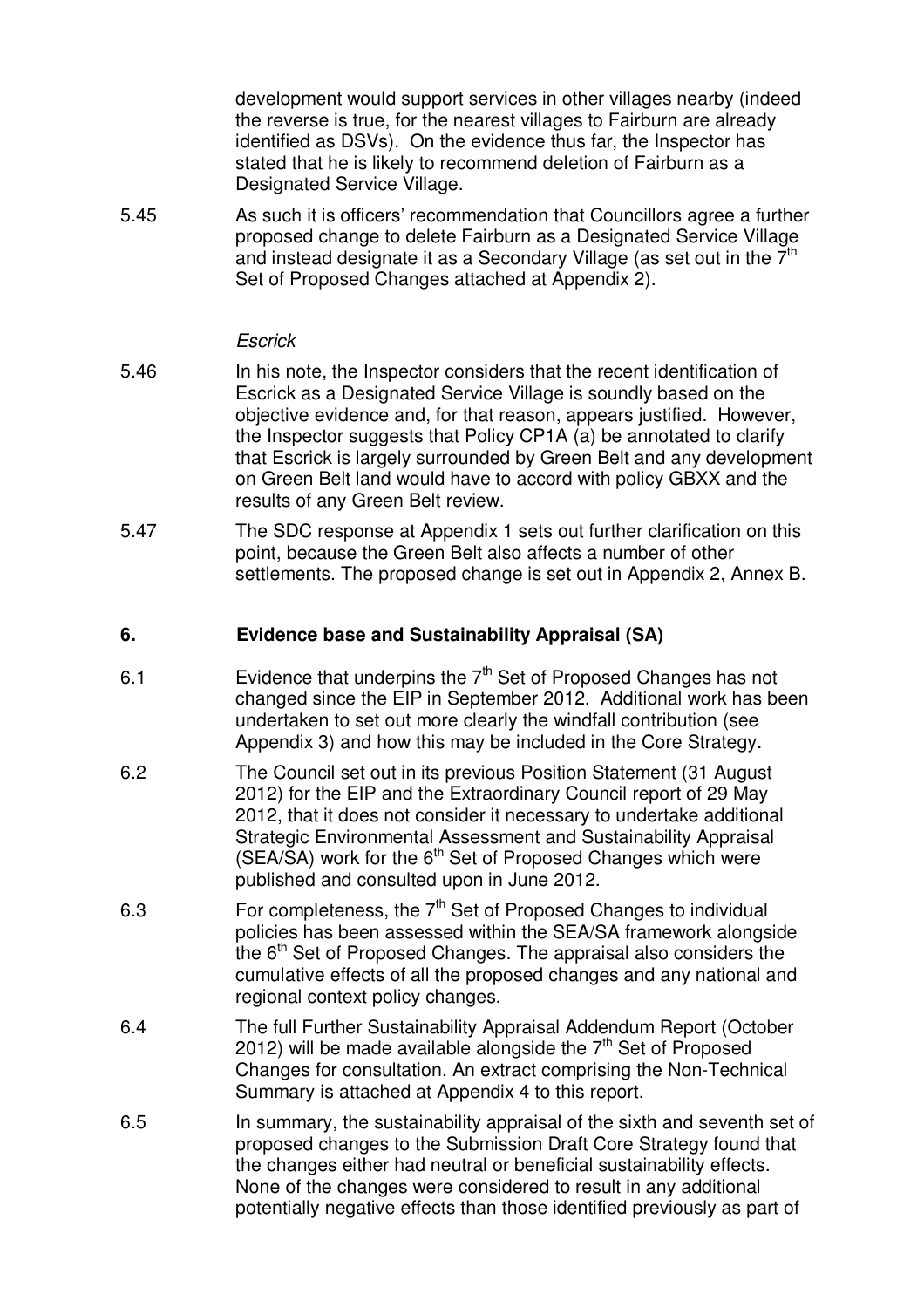development would support services in other villages nearby (indeed the reverse is true, for the nearest villages to Fairburn are already identified as DSVs). On the evidence thus far, the Inspector has stated that he is likely to recommend deletion of Fairburn as a Designated Service Village.

5.45 As such it is officers' recommendation that Councillors agree a further proposed change to delete Fairburn as a Designated Service Village and instead designate it as a Secondary Village (as set out in the  $\bar{7}^{\text{th}}$ Set of Proposed Changes attached at Appendix 2).

#### *Escrick*

- 5.46 In his note, the Inspector considers that the recent identification of Escrick as a Designated Service Village is soundly based on the objective evidence and, for that reason, appears justified. However, the Inspector suggests that Policy CP1A (a) be annotated to clarify that Escrick is largely surrounded by Green Belt and any development on Green Belt land would have to accord with policy GBXX and the results of any Green Belt review.
- 5.47 The SDC response at Appendix 1 sets out further clarification on this point, because the Green Belt also affects a number of other settlements. The proposed change is set out in Appendix 2, Annex B.

#### **6. Evidence base and Sustainability Appraisal (SA)**

- 6.1 **Evidence that underpins the**  $7<sup>th</sup>$  **Set of Proposed Changes has not** changed since the EIP in September 2012. Additional work has been undertaken to set out more clearly the windfall contribution (see Appendix 3) and how this may be included in the Core Strategy.
- 6.2 The Council set out in its previous Position Statement (31 August 2012) for the EIP and the Extraordinary Council report of 29 May 2012, that it does not consider it necessary to undertake additional Strategic Environmental Assessment and Sustainability Appraisal  $(SEA/SA)$  work for the  $6<sup>th</sup>$  Set of Proposed Changes which were published and consulted upon in June 2012.
- 6.3 **For completeness, the**  $7<sup>th</sup>$  **Set of Proposed Changes to individual** policies has been assessed within the SEA/SA framework alongside the 6<sup>th</sup> Set of Proposed Changes. The appraisal also considers the cumulative effects of all the proposed changes and any national and regional context policy changes.
- 6.4 The full Further Sustainability Appraisal Addendum Report (October 2012) will be made available alongside the  $7<sup>th</sup>$  Set of Proposed Changes for consultation. An extract comprising the Non-Technical Summary is attached at Appendix 4 to this report.
- 6.5 In summary, the sustainability appraisal of the sixth and seventh set of proposed changes to the Submission Draft Core Strategy found that the changes either had neutral or beneficial sustainability effects. None of the changes were considered to result in any additional potentially negative effects than those identified previously as part of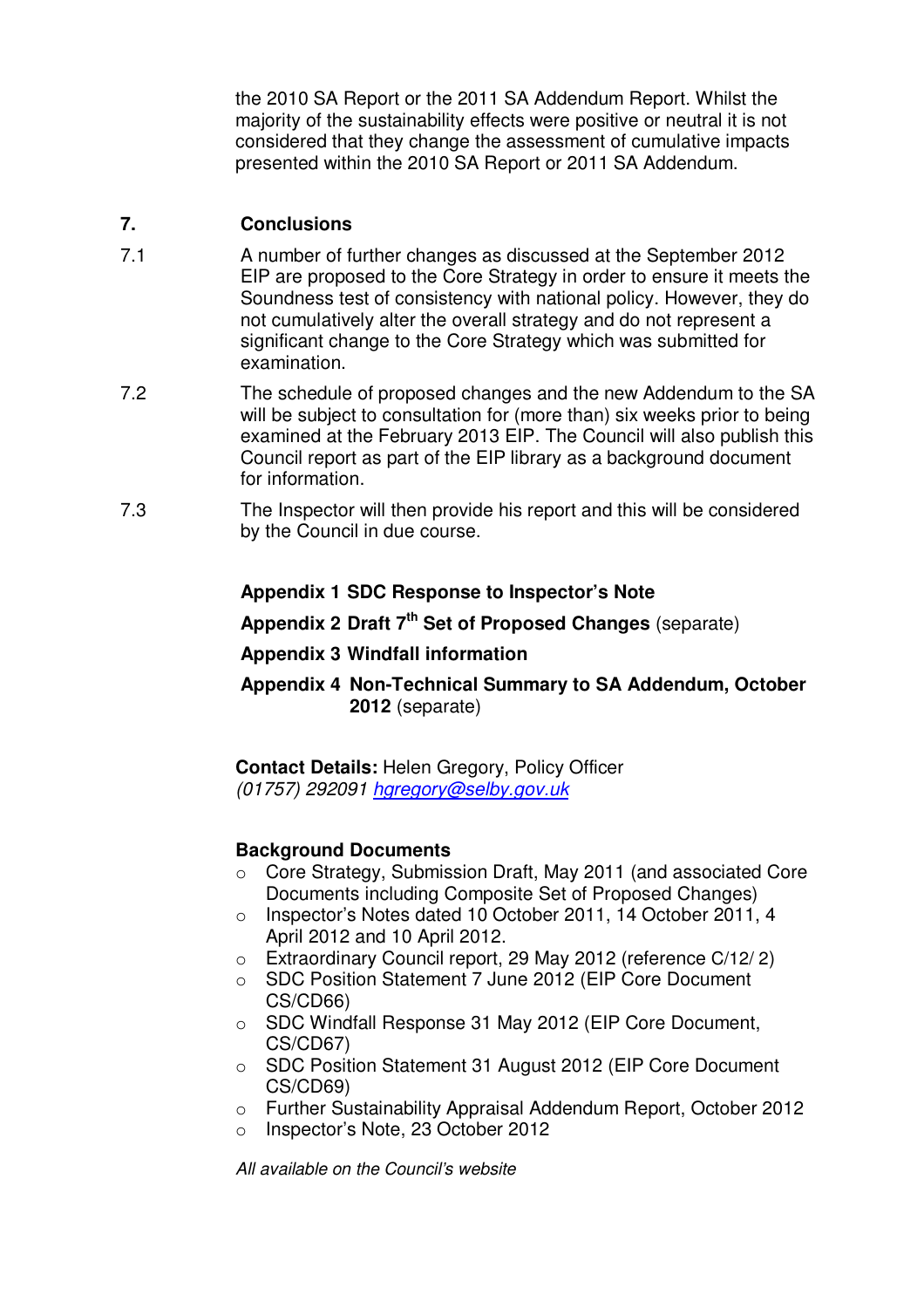the 2010 SA Report or the 2011 SA Addendum Report. Whilst the majority of the sustainability effects were positive or neutral it is not considered that they change the assessment of cumulative impacts presented within the 2010 SA Report or 2011 SA Addendum.

#### **7. Conclusions**

- 7.1 A number of further changes as discussed at the September 2012 EIP are proposed to the Core Strategy in order to ensure it meets the Soundness test of consistency with national policy. However, they do not cumulatively alter the overall strategy and do not represent a significant change to the Core Strategy which was submitted for examination.
- 7.2 The schedule of proposed changes and the new Addendum to the SA will be subject to consultation for (more than) six weeks prior to being examined at the February 2013 EIP. The Council will also publish this Council report as part of the EIP library as a background document for information.
- 7.3 The Inspector will then provide his report and this will be considered by the Council in due course.

## **Appendix 1 SDC Response to Inspector's Note**

- **Appendix 2 Draft 7 th Set of Proposed Changes** (separate)
- **Appendix 3 Windfall information**
- **Appendix 4 Non-Technical Summary to SA Addendum, October 2012** (separate)

**Contact Details:** Helen Gregory, Policy Officer *(01757) 292091 hgregory@selby.gov.uk*

#### **Background Documents**

- o Core Strategy, Submission Draft, May 2011 (and associated Core Documents including Composite Set of Proposed Changes)
- o Inspector's Notes dated 10 October 2011, 14 October 2011, 4 April 2012 and 10 April 2012.
- o Extraordinary Council report, 29 May 2012 (reference C/12/ 2)
- o SDC Position Statement 7 June 2012 (EIP Core Document CS/CD66)
- o SDC Windfall Response 31 May 2012 (EIP Core Document, CS/CD67)
- o SDC Position Statement 31 August 2012 (EIP Core Document CS/CD69)
- o Further Sustainability Appraisal Addendum Report, October 2012
- o Inspector's Note, 23 October 2012

*All available on the Council's website*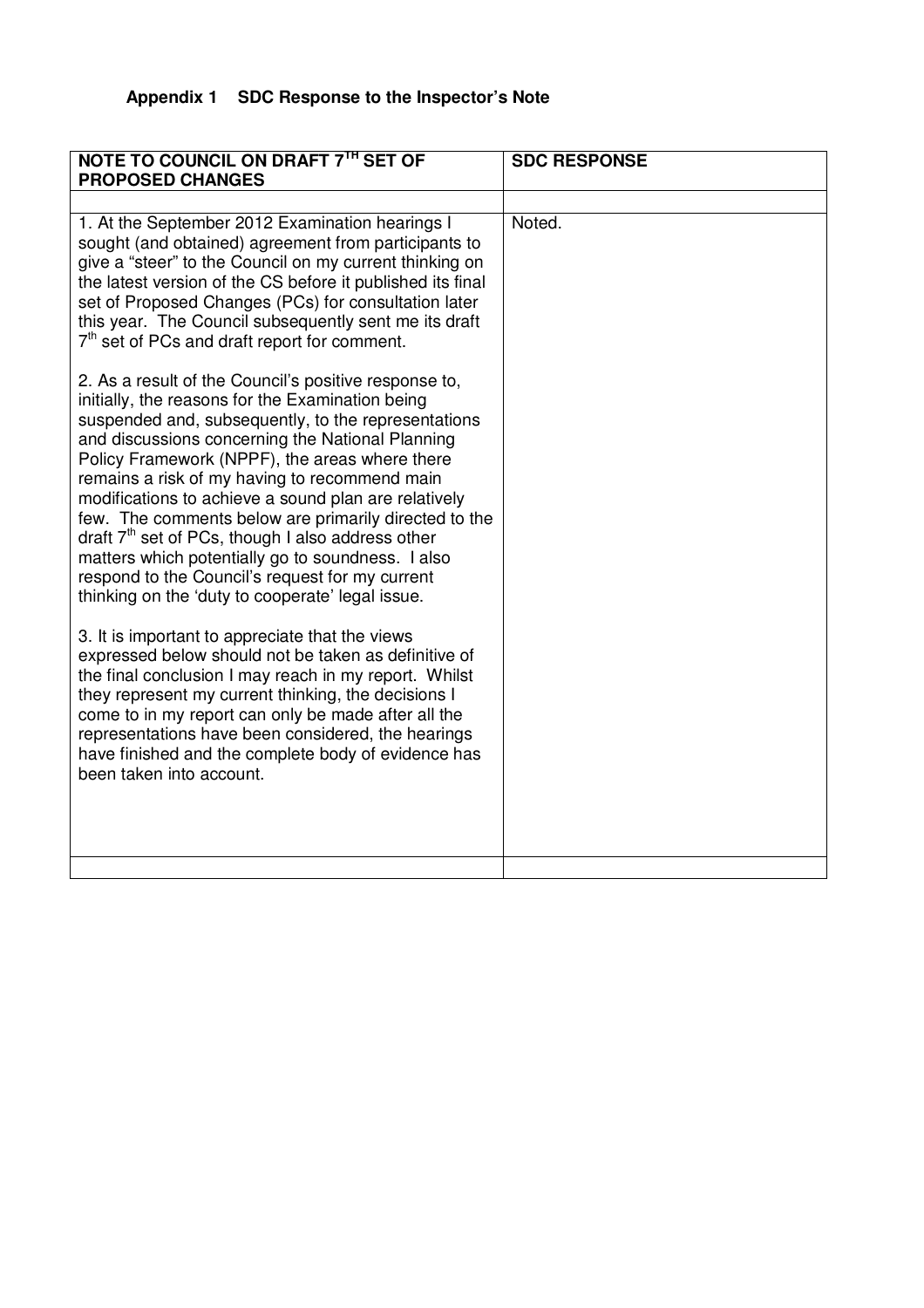# **Appendix 1 SDC Response to the Inspector's Note**

| NOTE TO COUNCIL ON DRAFT 7TH SET OF<br><b>PROPOSED CHANGES</b>                                                                                                                                                                                                                                                                                                                                                                                                                                                                                                                                                                                              | <b>SDC RESPONSE</b> |
|-------------------------------------------------------------------------------------------------------------------------------------------------------------------------------------------------------------------------------------------------------------------------------------------------------------------------------------------------------------------------------------------------------------------------------------------------------------------------------------------------------------------------------------------------------------------------------------------------------------------------------------------------------------|---------------------|
|                                                                                                                                                                                                                                                                                                                                                                                                                                                                                                                                                                                                                                                             |                     |
| 1. At the September 2012 Examination hearings I<br>sought (and obtained) agreement from participants to<br>give a "steer" to the Council on my current thinking on<br>the latest version of the CS before it published its final<br>set of Proposed Changes (PCs) for consultation later<br>this year. The Council subsequently sent me its draft<br>7 <sup>th</sup> set of PCs and draft report for comment.                                                                                                                                                                                                                                               | Noted.              |
| 2. As a result of the Council's positive response to,<br>initially, the reasons for the Examination being<br>suspended and, subsequently, to the representations<br>and discussions concerning the National Planning<br>Policy Framework (NPPF), the areas where there<br>remains a risk of my having to recommend main<br>modifications to achieve a sound plan are relatively<br>few. The comments below are primarily directed to the<br>draft $7th$ set of PCs, though I also address other<br>matters which potentially go to soundness. I also<br>respond to the Council's request for my current<br>thinking on the 'duty to cooperate' legal issue. |                     |
| 3. It is important to appreciate that the views<br>expressed below should not be taken as definitive of<br>the final conclusion I may reach in my report. Whilst<br>they represent my current thinking, the decisions I<br>come to in my report can only be made after all the<br>representations have been considered, the hearings<br>have finished and the complete body of evidence has<br>been taken into account.                                                                                                                                                                                                                                     |                     |
|                                                                                                                                                                                                                                                                                                                                                                                                                                                                                                                                                                                                                                                             |                     |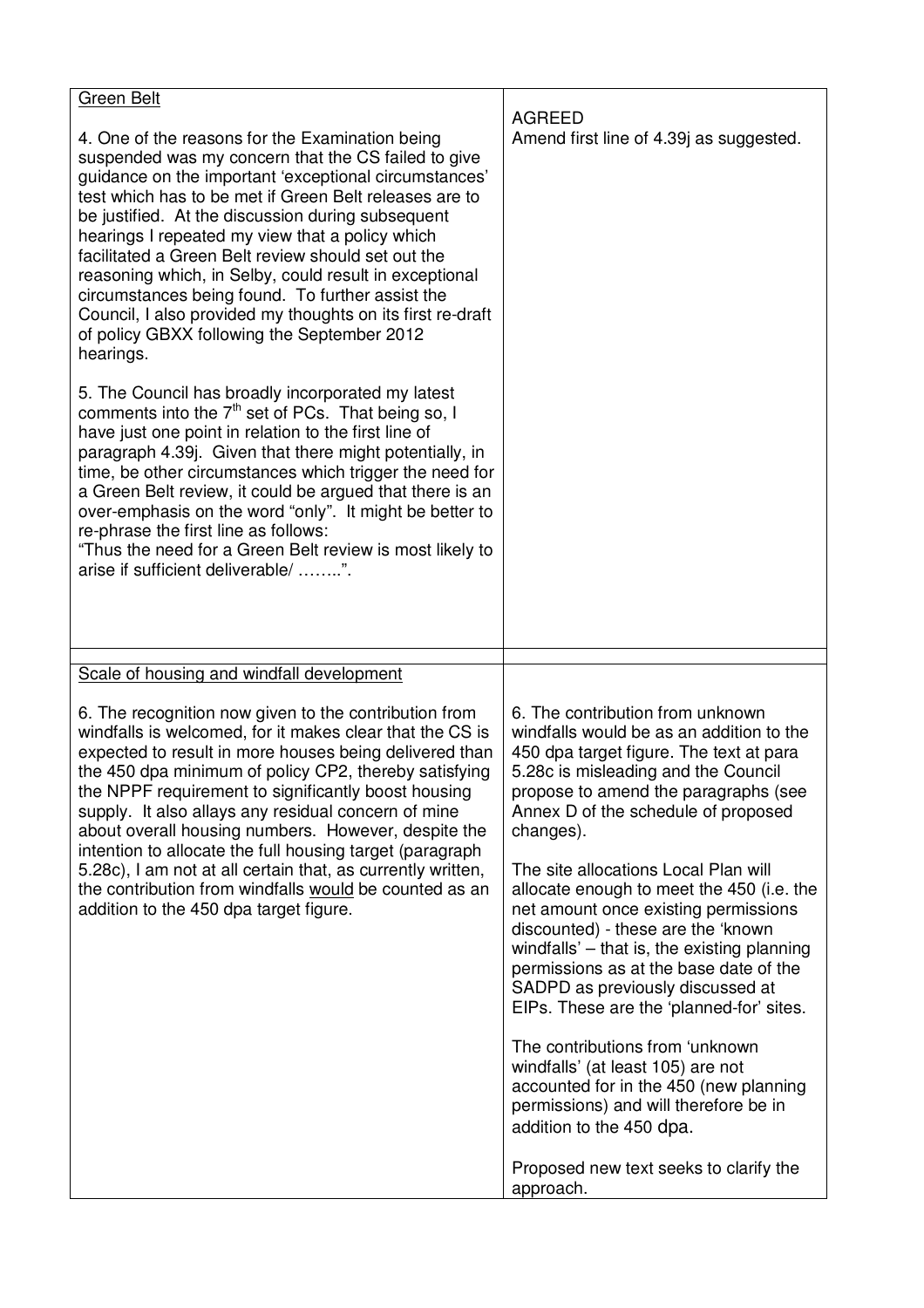| <b>Green Belt</b>                                                                                                                                                                                                                                                                                                                                                                                                                                                                                                                                                                                                               |                                                                                                                                                                                                                                                                                                                                          |
|---------------------------------------------------------------------------------------------------------------------------------------------------------------------------------------------------------------------------------------------------------------------------------------------------------------------------------------------------------------------------------------------------------------------------------------------------------------------------------------------------------------------------------------------------------------------------------------------------------------------------------|------------------------------------------------------------------------------------------------------------------------------------------------------------------------------------------------------------------------------------------------------------------------------------------------------------------------------------------|
| 4. One of the reasons for the Examination being<br>suspended was my concern that the CS failed to give<br>guidance on the important 'exceptional circumstances'<br>test which has to be met if Green Belt releases are to<br>be justified. At the discussion during subsequent<br>hearings I repeated my view that a policy which<br>facilitated a Green Belt review should set out the<br>reasoning which, in Selby, could result in exceptional<br>circumstances being found. To further assist the<br>Council, I also provided my thoughts on its first re-draft<br>of policy GBXX following the September 2012<br>hearings. | <b>AGREED</b><br>Amend first line of 4.39 as suggested.                                                                                                                                                                                                                                                                                  |
| 5. The Council has broadly incorporated my latest<br>comments into the $7th$ set of PCs. That being so, I<br>have just one point in relation to the first line of<br>paragraph 4.39 j. Given that there might potentially, in<br>time, be other circumstances which trigger the need for<br>a Green Belt review, it could be argued that there is an<br>over-emphasis on the word "only". It might be better to<br>re-phrase the first line as follows:<br>"Thus the need for a Green Belt review is most likely to<br>arise if sufficient deliverable/ ".                                                                      |                                                                                                                                                                                                                                                                                                                                          |
| Scale of housing and windfall development                                                                                                                                                                                                                                                                                                                                                                                                                                                                                                                                                                                       |                                                                                                                                                                                                                                                                                                                                          |
| 6. The recognition now given to the contribution from<br>windfalls is welcomed, for it makes clear that the CS is<br>expected to result in more houses being delivered than<br>the 450 dpa minimum of policy CP2, thereby satisfying<br>the NPPF requirement to significantly boost housing<br>supply. It also allays any residual concern of mine<br>about overall housing numbers. However, despite the                                                                                                                                                                                                                       | 6. The contribution from unknown<br>windfalls would be as an addition to the<br>450 dpa target figure. The text at para<br>5.28c is misleading and the Council<br>propose to amend the paragraphs (see<br>Annex D of the schedule of proposed<br>changes).                                                                               |
| intention to allocate the full housing target (paragraph<br>5.28c), I am not at all certain that, as currently written,<br>the contribution from windfalls would be counted as an<br>addition to the 450 dpa target figure.                                                                                                                                                                                                                                                                                                                                                                                                     | The site allocations Local Plan will<br>allocate enough to meet the 450 (i.e. the<br>net amount once existing permissions<br>discounted) - these are the 'known<br>windfalls' - that is, the existing planning<br>permissions as at the base date of the<br>SADPD as previously discussed at<br>EIPs. These are the 'planned-for' sites. |
|                                                                                                                                                                                                                                                                                                                                                                                                                                                                                                                                                                                                                                 | The contributions from 'unknown<br>windfalls' (at least 105) are not<br>accounted for in the 450 (new planning<br>permissions) and will therefore be in<br>addition to the 450 dpa.                                                                                                                                                      |
|                                                                                                                                                                                                                                                                                                                                                                                                                                                                                                                                                                                                                                 | Proposed new text seeks to clarify the<br>approach.                                                                                                                                                                                                                                                                                      |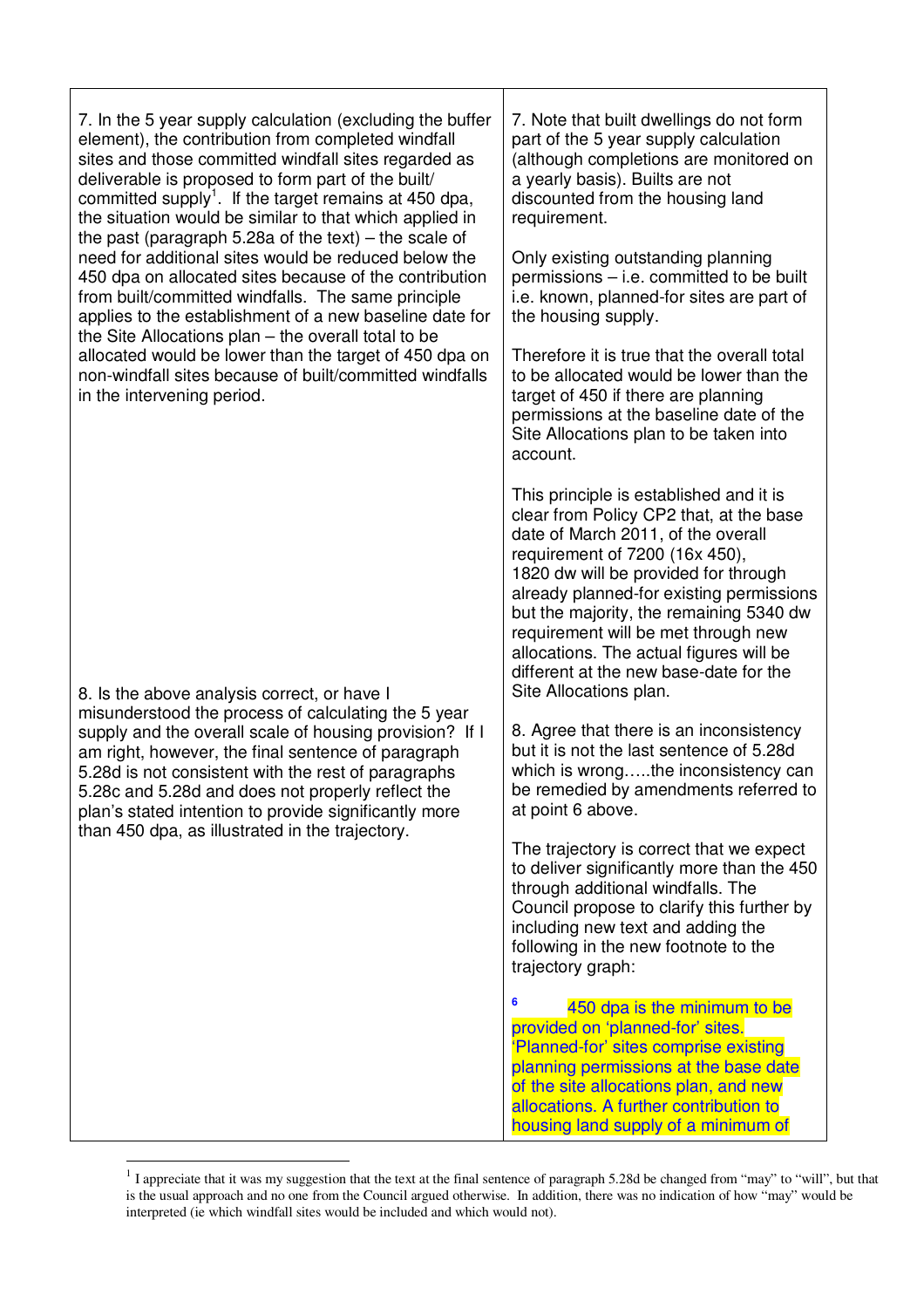| 7. In the 5 year supply calculation (excluding the buffer<br>element), the contribution from completed windfall<br>sites and those committed windfall sites regarded as<br>deliverable is proposed to form part of the built/<br>committed supply <sup>1</sup> . If the target remains at 450 dpa,<br>the situation would be similar to that which applied in<br>the past (paragraph 5.28a of the text) – the scale of<br>need for additional sites would be reduced below the<br>450 dpa on allocated sites because of the contribution<br>from built/committed windfalls. The same principle<br>applies to the establishment of a new baseline date for | 7. Note that built dwellings do not form<br>part of the 5 year supply calculation<br>(although completions are monitored on<br>a yearly basis). Builts are not<br>discounted from the housing land<br>requirement.<br>Only existing outstanding planning<br>permissions – i.e. committed to be built<br>i.e. known, planned-for sites are part of<br>the housing supply.                                                                        |  |  |
|-----------------------------------------------------------------------------------------------------------------------------------------------------------------------------------------------------------------------------------------------------------------------------------------------------------------------------------------------------------------------------------------------------------------------------------------------------------------------------------------------------------------------------------------------------------------------------------------------------------------------------------------------------------|-------------------------------------------------------------------------------------------------------------------------------------------------------------------------------------------------------------------------------------------------------------------------------------------------------------------------------------------------------------------------------------------------------------------------------------------------|--|--|
| the Site Allocations plan - the overall total to be<br>allocated would be lower than the target of 450 dpa on<br>non-windfall sites because of built/committed windfalls<br>in the intervening period.                                                                                                                                                                                                                                                                                                                                                                                                                                                    | Therefore it is true that the overall total<br>to be allocated would be lower than the<br>target of 450 if there are planning<br>permissions at the baseline date of the<br>Site Allocations plan to be taken into<br>account.                                                                                                                                                                                                                  |  |  |
| 8. Is the above analysis correct, or have I                                                                                                                                                                                                                                                                                                                                                                                                                                                                                                                                                                                                               | This principle is established and it is<br>clear from Policy CP2 that, at the base<br>date of March 2011, of the overall<br>requirement of 7200 (16x 450),<br>1820 dw will be provided for through<br>already planned-for existing permissions<br>but the majority, the remaining 5340 dw<br>requirement will be met through new<br>allocations. The actual figures will be<br>different at the new base-date for the<br>Site Allocations plan. |  |  |
| misunderstood the process of calculating the 5 year<br>supply and the overall scale of housing provision? If I<br>am right, however, the final sentence of paragraph<br>5.28d is not consistent with the rest of paragraphs<br>5.28c and 5.28d and does not properly reflect the<br>plan's stated intention to provide significantly more                                                                                                                                                                                                                                                                                                                 | 8. Agree that there is an inconsistency<br>but it is not the last sentence of 5.28d<br>which is wrongthe inconsistency can<br>be remedied by amendments referred to<br>at point 6 above.                                                                                                                                                                                                                                                        |  |  |
| than 450 dpa, as illustrated in the trajectory.                                                                                                                                                                                                                                                                                                                                                                                                                                                                                                                                                                                                           | The trajectory is correct that we expect<br>to deliver significantly more than the 450<br>through additional windfalls. The<br>Council propose to clarify this further by<br>including new text and adding the<br>following in the new footnote to the<br>trajectory graph:                                                                                                                                                                     |  |  |
|                                                                                                                                                                                                                                                                                                                                                                                                                                                                                                                                                                                                                                                           | 6<br>450 dpa is the minimum to be<br>provided on 'planned-for' sites.<br>'Planned-for' sites comprise existing<br>planning permissions at the base date<br>of the site allocations plan, and new<br>allocations. A further contribution to<br>housing land supply of a minimum of                                                                                                                                                               |  |  |

 $1$  I appreciate that it was my suggestion that the text at the final sentence of paragraph 5.28d be changed from "may" to "will", but that is the usual approach and no one from the Council argued otherwise. In addition, there was no indication of how "may" would be interpreted (ie which windfall sites would be included and which would not).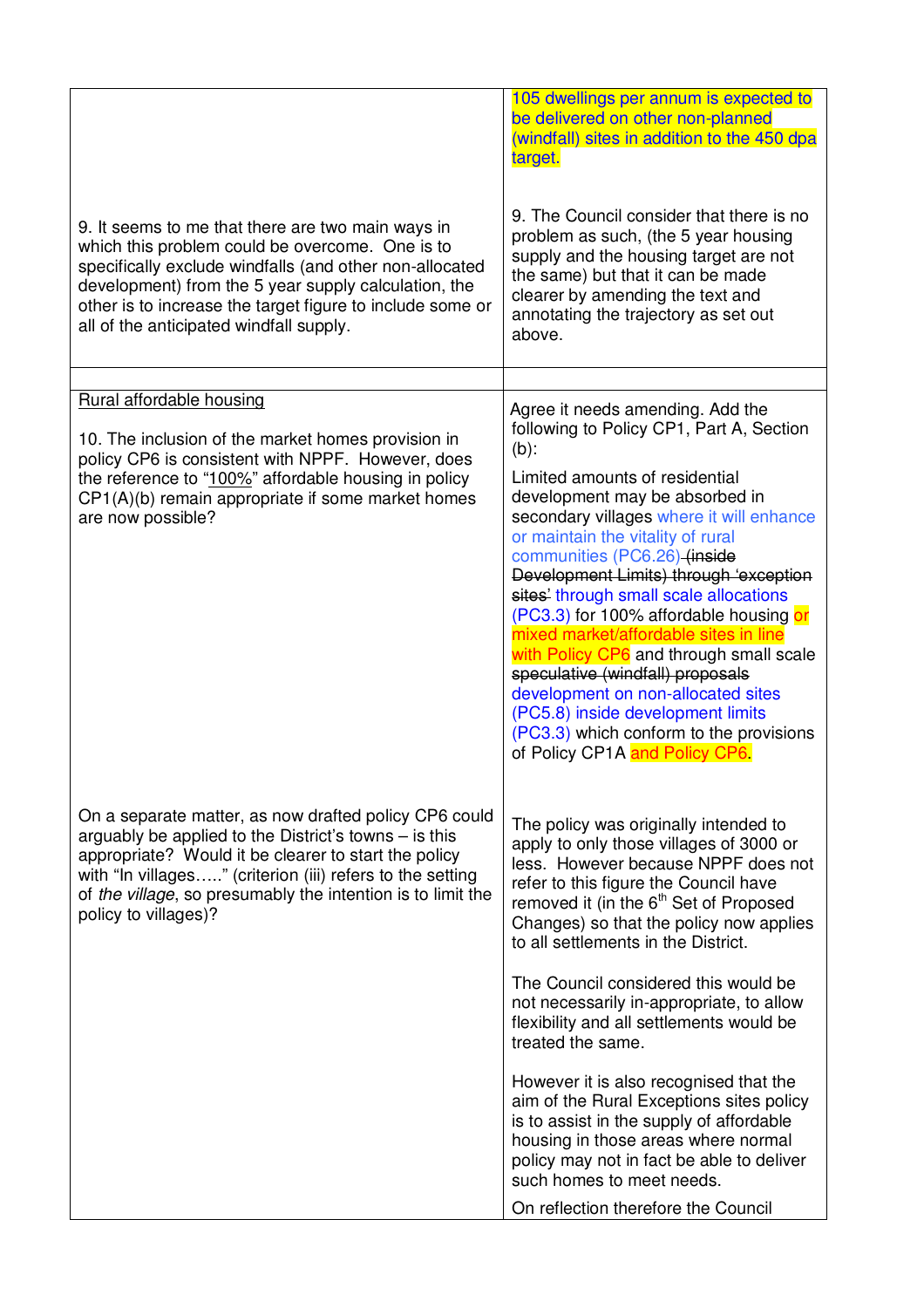|                                                                                                                                                                                                                                                                                                                                 | 105 dwellings per annum is expected to<br>be delivered on other non-planned<br>(windfall) sites in addition to the 450 dpa<br>target.                                                                                                                                                                                                                                                                                                                                                                                                                                                           |
|---------------------------------------------------------------------------------------------------------------------------------------------------------------------------------------------------------------------------------------------------------------------------------------------------------------------------------|-------------------------------------------------------------------------------------------------------------------------------------------------------------------------------------------------------------------------------------------------------------------------------------------------------------------------------------------------------------------------------------------------------------------------------------------------------------------------------------------------------------------------------------------------------------------------------------------------|
| 9. It seems to me that there are two main ways in<br>which this problem could be overcome. One is to<br>specifically exclude windfalls (and other non-allocated<br>development) from the 5 year supply calculation, the<br>other is to increase the target figure to include some or<br>all of the anticipated windfall supply. | 9. The Council consider that there is no<br>problem as such, (the 5 year housing<br>supply and the housing target are not<br>the same) but that it can be made<br>clearer by amending the text and<br>annotating the trajectory as set out<br>above.                                                                                                                                                                                                                                                                                                                                            |
|                                                                                                                                                                                                                                                                                                                                 |                                                                                                                                                                                                                                                                                                                                                                                                                                                                                                                                                                                                 |
| Rural affordable housing<br>10. The inclusion of the market homes provision in<br>policy CP6 is consistent with NPPF. However, does                                                                                                                                                                                             | Agree it needs amending. Add the<br>following to Policy CP1, Part A, Section<br>$(b)$ :                                                                                                                                                                                                                                                                                                                                                                                                                                                                                                         |
| the reference to "100%" affordable housing in policy<br>CP1(A)(b) remain appropriate if some market homes<br>are now possible?                                                                                                                                                                                                  | Limited amounts of residential<br>development may be absorbed in<br>secondary villages where it will enhance<br>or maintain the vitality of rural<br>communities (PC6.26) (inside<br>Development Limits) through 'exception<br>sites' through small scale allocations<br>(PC3.3) for 100% affordable housing or<br>mixed market/affordable sites in line<br>with Policy CP6 and through small scale<br>speculative (windfall) proposals<br>development on non-allocated sites<br>(PC5.8) inside development limits<br>(PC3.3) which conform to the provisions<br>of Policy CP1A and Policy CP6. |
| On a separate matter, as now drafted policy CP6 could<br>arguably be applied to the District's towns – is this<br>appropriate? Would it be clearer to start the policy<br>with "In villages" (criterion (iii) refers to the setting<br>of the village, so presumably the intention is to limit the<br>policy to villages)?      | The policy was originally intended to<br>apply to only those villages of 3000 or<br>less. However because NPPF does not<br>refer to this figure the Council have<br>removed it (in the 6 <sup>th</sup> Set of Proposed<br>Changes) so that the policy now applies<br>to all settlements in the District.                                                                                                                                                                                                                                                                                        |
|                                                                                                                                                                                                                                                                                                                                 | The Council considered this would be<br>not necessarily in-appropriate, to allow<br>flexibility and all settlements would be<br>treated the same.                                                                                                                                                                                                                                                                                                                                                                                                                                               |
|                                                                                                                                                                                                                                                                                                                                 | However it is also recognised that the<br>aim of the Rural Exceptions sites policy<br>is to assist in the supply of affordable<br>housing in those areas where normal<br>policy may not in fact be able to deliver<br>such homes to meet needs.                                                                                                                                                                                                                                                                                                                                                 |
|                                                                                                                                                                                                                                                                                                                                 | On reflection therefore the Council                                                                                                                                                                                                                                                                                                                                                                                                                                                                                                                                                             |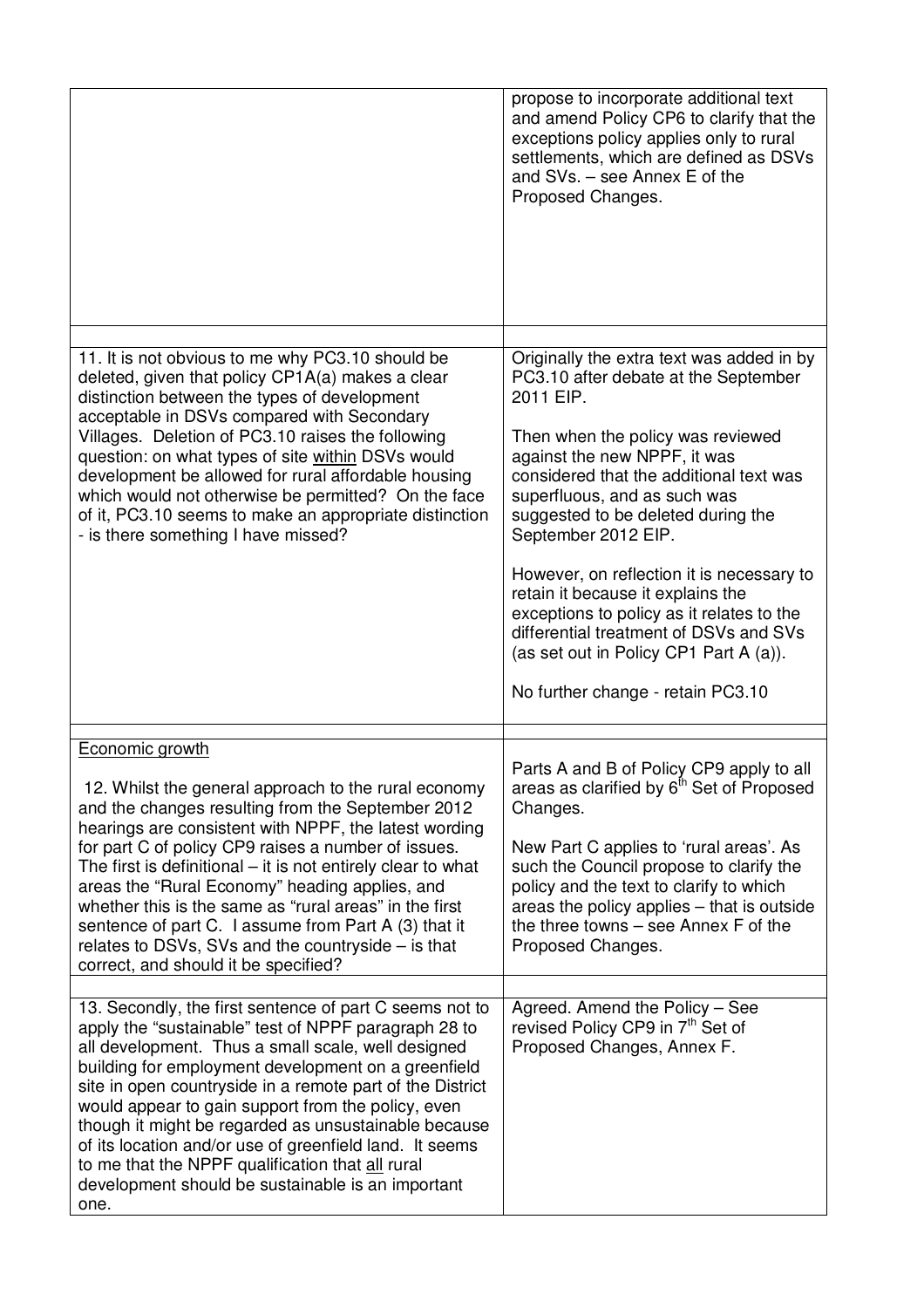|                                                                                                                                                                                                                                                                                                                                                                                                                                                                                                                                                                                     | propose to incorporate additional text<br>and amend Policy CP6 to clarify that the<br>exceptions policy applies only to rural<br>settlements, which are defined as DSVs<br>and SVs. - see Annex E of the<br>Proposed Changes.                                                                                                                                                                                                                                                                                                  |
|-------------------------------------------------------------------------------------------------------------------------------------------------------------------------------------------------------------------------------------------------------------------------------------------------------------------------------------------------------------------------------------------------------------------------------------------------------------------------------------------------------------------------------------------------------------------------------------|--------------------------------------------------------------------------------------------------------------------------------------------------------------------------------------------------------------------------------------------------------------------------------------------------------------------------------------------------------------------------------------------------------------------------------------------------------------------------------------------------------------------------------|
|                                                                                                                                                                                                                                                                                                                                                                                                                                                                                                                                                                                     |                                                                                                                                                                                                                                                                                                                                                                                                                                                                                                                                |
| 11. It is not obvious to me why PC3.10 should be<br>deleted, given that policy CP1A(a) makes a clear<br>distinction between the types of development<br>acceptable in DSVs compared with Secondary<br>Villages. Deletion of PC3.10 raises the following<br>question: on what types of site within DSVs would<br>development be allowed for rural affordable housing<br>which would not otherwise be permitted? On the face<br>of it, PC3.10 seems to make an appropriate distinction<br>- is there something I have missed?                                                         | Originally the extra text was added in by<br>PC3.10 after debate at the September<br>2011 EIP.<br>Then when the policy was reviewed<br>against the new NPPF, it was<br>considered that the additional text was<br>superfluous, and as such was<br>suggested to be deleted during the<br>September 2012 EIP.<br>However, on reflection it is necessary to<br>retain it because it explains the<br>exceptions to policy as it relates to the<br>differential treatment of DSVs and SVs<br>(as set out in Policy CP1 Part A (a)). |
|                                                                                                                                                                                                                                                                                                                                                                                                                                                                                                                                                                                     | No further change - retain PC3.10                                                                                                                                                                                                                                                                                                                                                                                                                                                                                              |
| Economic growth<br>12. Whilst the general approach to the rural economy<br>and the changes resulting from the September 2012<br>hearings are consistent with NPPF, the latest wording<br>for part C of policy CP9 raises a number of issues.<br>The first is definitional – it is not entirely clear to what<br>areas the "Rural Economy" heading applies, and<br>whether this is the same as "rural areas" in the first<br>sentence of part C. I assume from Part A (3) that it<br>relates to DSVs, SVs and the countryside $-$ is that<br>correct, and should it be specified?    | Parts A and B of Policy CP9 apply to all<br>areas as clarified by 6 <sup>th</sup> Set of Proposed<br>Changes.<br>New Part C applies to 'rural areas'. As<br>such the Council propose to clarify the<br>policy and the text to clarify to which<br>areas the policy applies – that is outside<br>the three towns - see Annex F of the<br>Proposed Changes.                                                                                                                                                                      |
| 13. Secondly, the first sentence of part C seems not to<br>apply the "sustainable" test of NPPF paragraph 28 to<br>all development. Thus a small scale, well designed<br>building for employment development on a greenfield<br>site in open countryside in a remote part of the District<br>would appear to gain support from the policy, even<br>though it might be regarded as unsustainable because<br>of its location and/or use of greenfield land. It seems<br>to me that the NPPF qualification that all rural<br>development should be sustainable is an important<br>one. | Agreed. Amend the Policy - See<br>revised Policy CP9 in 7 <sup>th</sup> Set of<br>Proposed Changes, Annex F.                                                                                                                                                                                                                                                                                                                                                                                                                   |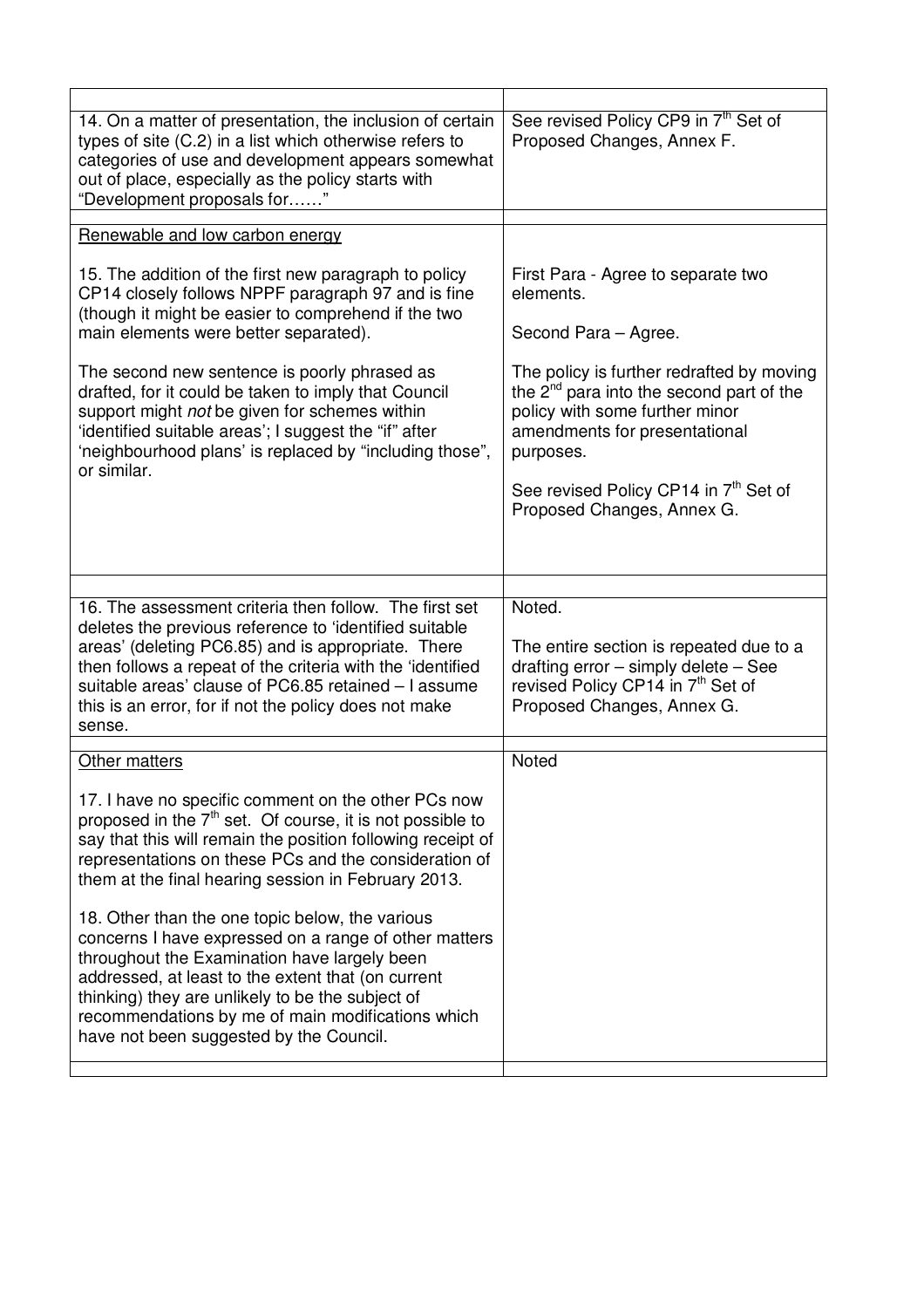| 14. On a matter of presentation, the inclusion of certain<br>types of site (C.2) in a list which otherwise refers to<br>categories of use and development appears somewhat<br>out of place, especially as the policy starts with<br>"Development proposals for"                                                                                                                                                                                                                                                                                                                                                                                                         | See revised Policy CP9 in 7th Set of<br>Proposed Changes, Annex F.                                                                                                         |  |  |
|-------------------------------------------------------------------------------------------------------------------------------------------------------------------------------------------------------------------------------------------------------------------------------------------------------------------------------------------------------------------------------------------------------------------------------------------------------------------------------------------------------------------------------------------------------------------------------------------------------------------------------------------------------------------------|----------------------------------------------------------------------------------------------------------------------------------------------------------------------------|--|--|
| Renewable and low carbon energy                                                                                                                                                                                                                                                                                                                                                                                                                                                                                                                                                                                                                                         |                                                                                                                                                                            |  |  |
| 15. The addition of the first new paragraph to policy<br>CP14 closely follows NPPF paragraph 97 and is fine<br>(though it might be easier to comprehend if the two<br>main elements were better separated).                                                                                                                                                                                                                                                                                                                                                                                                                                                             | First Para - Agree to separate two<br>elements.<br>Second Para - Agree.                                                                                                    |  |  |
| The second new sentence is poorly phrased as<br>drafted, for it could be taken to imply that Council<br>support might not be given for schemes within<br>'identified suitable areas'; I suggest the "if" after<br>'neighbourhood plans' is replaced by "including those",<br>or similar.                                                                                                                                                                                                                                                                                                                                                                                | The policy is further redrafted by moving<br>the $2^{nd}$ para into the second part of the<br>policy with some further minor<br>amendments for presentational<br>purposes. |  |  |
|                                                                                                                                                                                                                                                                                                                                                                                                                                                                                                                                                                                                                                                                         | See revised Policy CP14 in 7th Set of<br>Proposed Changes, Annex G.                                                                                                        |  |  |
|                                                                                                                                                                                                                                                                                                                                                                                                                                                                                                                                                                                                                                                                         |                                                                                                                                                                            |  |  |
|                                                                                                                                                                                                                                                                                                                                                                                                                                                                                                                                                                                                                                                                         |                                                                                                                                                                            |  |  |
| 16. The assessment criteria then follow. The first set<br>deletes the previous reference to 'identified suitable<br>areas' (deleting PC6.85) and is appropriate. There<br>then follows a repeat of the criteria with the 'identified<br>suitable areas' clause of PC6.85 retained - I assume<br>this is an error, for if not the policy does not make<br>sense.                                                                                                                                                                                                                                                                                                         | Noted.<br>The entire section is repeated due to a<br>drafting error - simply delete - See<br>revised Policy CP14 in 7 <sup>th</sup> Set of<br>Proposed Changes, Annex G.   |  |  |
| Other matters                                                                                                                                                                                                                                                                                                                                                                                                                                                                                                                                                                                                                                                           | Noted                                                                                                                                                                      |  |  |
| 17. I have no specific comment on the other PCs now<br>proposed in the $7th$ set. Of course, it is not possible to<br>say that this will remain the position following receipt of<br>representations on these PCs and the consideration of<br>them at the final hearing session in February 2013.<br>18. Other than the one topic below, the various<br>concerns I have expressed on a range of other matters<br>throughout the Examination have largely been<br>addressed, at least to the extent that (on current<br>thinking) they are unlikely to be the subject of<br>recommendations by me of main modifications which<br>have not been suggested by the Council. |                                                                                                                                                                            |  |  |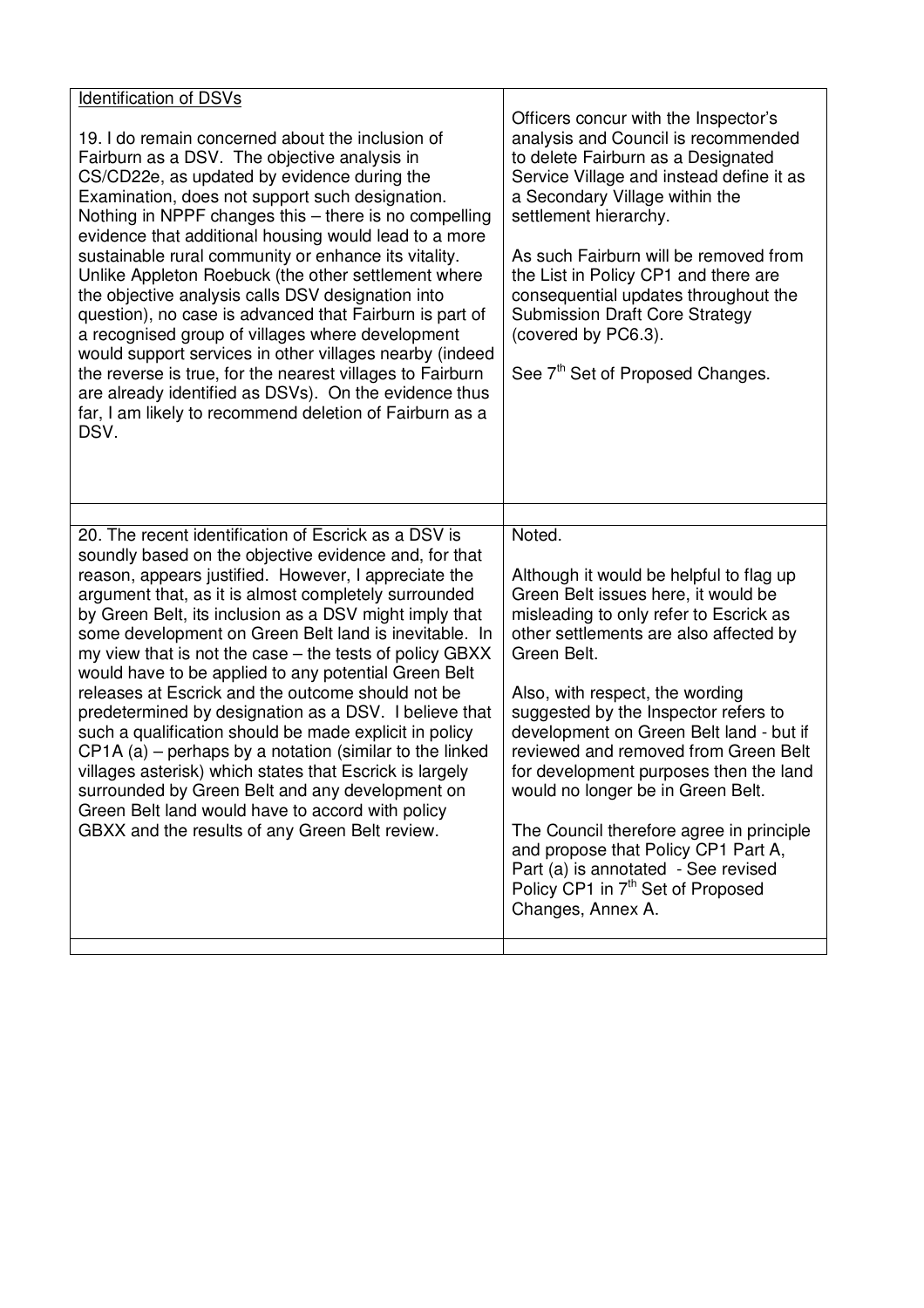| Identification of DSVs<br>19. I do remain concerned about the inclusion of<br>Fairburn as a DSV. The objective analysis in<br>CS/CD22e, as updated by evidence during the<br>Examination, does not support such designation.<br>Nothing in NPPF changes this - there is no compelling<br>evidence that additional housing would lead to a more<br>sustainable rural community or enhance its vitality.<br>Unlike Appleton Roebuck (the other settlement where<br>the objective analysis calls DSV designation into<br>question), no case is advanced that Fairburn is part of<br>a recognised group of villages where development<br>would support services in other villages nearby (indeed<br>the reverse is true, for the nearest villages to Fairburn<br>are already identified as DSVs). On the evidence thus<br>far, I am likely to recommend deletion of Fairburn as a<br>DSV.                                        | Officers concur with the Inspector's<br>analysis and Council is recommended<br>to delete Fairburn as a Designated<br>Service Village and instead define it as<br>a Secondary Village within the<br>settlement hierarchy.<br>As such Fairburn will be removed from<br>the List in Policy CP1 and there are<br>consequential updates throughout the<br><b>Submission Draft Core Strategy</b><br>(covered by PC6.3).<br>See 7 <sup>th</sup> Set of Proposed Changes.                                                                                                                                                                        |
|------------------------------------------------------------------------------------------------------------------------------------------------------------------------------------------------------------------------------------------------------------------------------------------------------------------------------------------------------------------------------------------------------------------------------------------------------------------------------------------------------------------------------------------------------------------------------------------------------------------------------------------------------------------------------------------------------------------------------------------------------------------------------------------------------------------------------------------------------------------------------------------------------------------------------|------------------------------------------------------------------------------------------------------------------------------------------------------------------------------------------------------------------------------------------------------------------------------------------------------------------------------------------------------------------------------------------------------------------------------------------------------------------------------------------------------------------------------------------------------------------------------------------------------------------------------------------|
| 20. The recent identification of Escrick as a DSV is<br>soundly based on the objective evidence and, for that<br>reason, appears justified. However, I appreciate the<br>argument that, as it is almost completely surrounded<br>by Green Belt, its inclusion as a DSV might imply that<br>some development on Green Belt land is inevitable. In<br>my view that is not the case – the tests of policy GBXX<br>would have to be applied to any potential Green Belt<br>releases at Escrick and the outcome should not be<br>predetermined by designation as a DSV. I believe that<br>such a qualification should be made explicit in policy<br>$CP1A$ (a) – perhaps by a notation (similar to the linked<br>villages asterisk) which states that Escrick is largely<br>surrounded by Green Belt and any development on<br>Green Belt land would have to accord with policy<br>GBXX and the results of any Green Belt review. | Noted.<br>Although it would be helpful to flag up<br>Green Belt issues here, it would be<br>misleading to only refer to Escrick as<br>other settlements are also affected by<br>Green Belt.<br>Also, with respect, the wording<br>suggested by the Inspector refers to<br>development on Green Belt land - but if<br>reviewed and removed from Green Belt<br>for development purposes then the land<br>would no longer be in Green Belt.<br>The Council therefore agree in principle<br>and propose that Policy CP1 Part A,<br>Part (a) is annotated - See revised<br>Policy CP1 in 7 <sup>th</sup> Set of Proposed<br>Changes, Annex A. |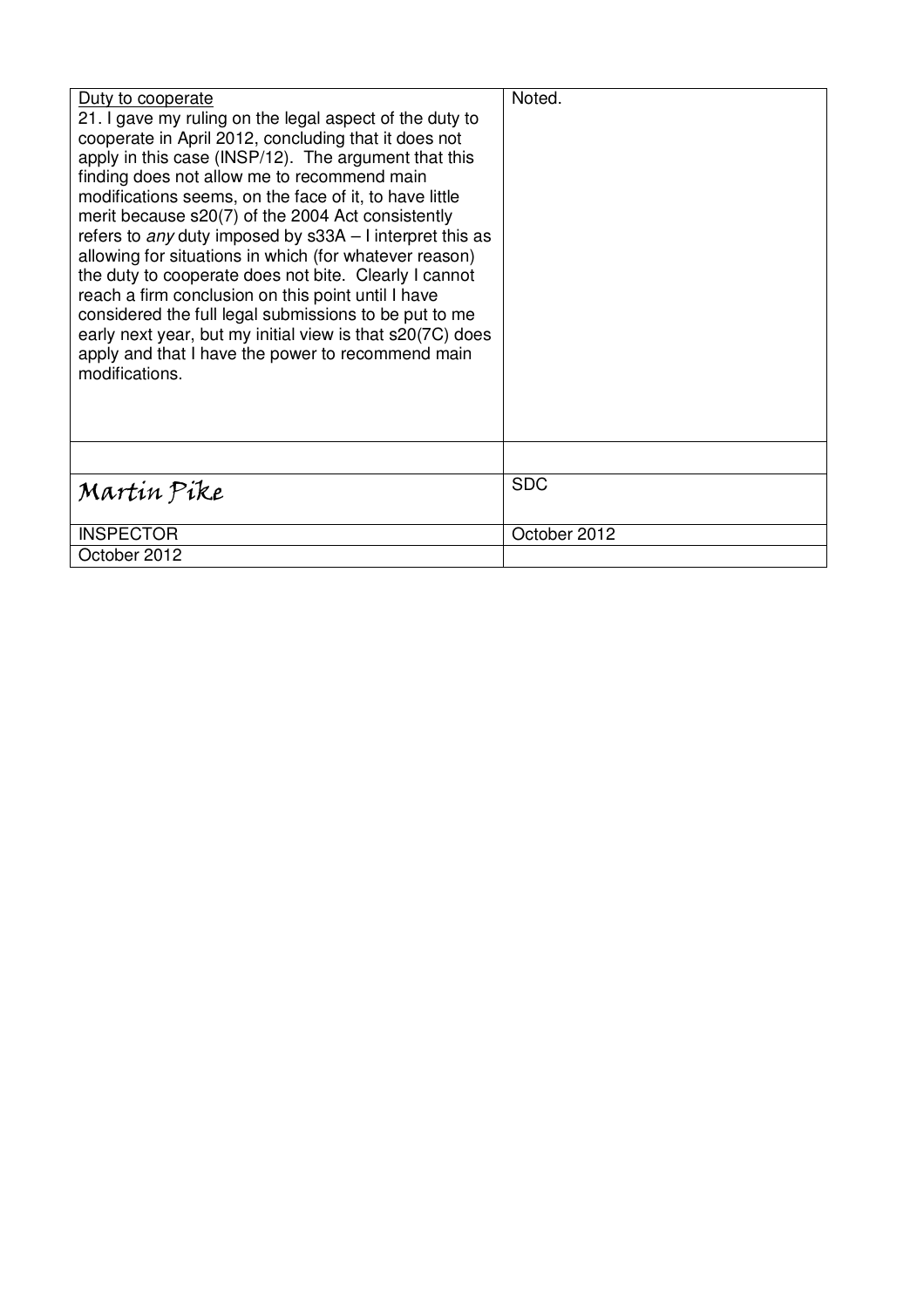| Duty to cooperate<br>21. I gave my ruling on the legal aspect of the duty to<br>cooperate in April 2012, concluding that it does not<br>apply in this case (INSP/12). The argument that this<br>finding does not allow me to recommend main<br>modifications seems, on the face of it, to have little<br>merit because s20(7) of the 2004 Act consistently<br>refers to any duty imposed by s33A - I interpret this as<br>allowing for situations in which (for whatever reason)<br>the duty to cooperate does not bite. Clearly I cannot<br>reach a firm conclusion on this point until I have<br>considered the full legal submissions to be put to me<br>early next year, but my initial view is that s20(7C) does<br>apply and that I have the power to recommend main<br>modifications. | Noted.       |
|----------------------------------------------------------------------------------------------------------------------------------------------------------------------------------------------------------------------------------------------------------------------------------------------------------------------------------------------------------------------------------------------------------------------------------------------------------------------------------------------------------------------------------------------------------------------------------------------------------------------------------------------------------------------------------------------------------------------------------------------------------------------------------------------|--------------|
|                                                                                                                                                                                                                                                                                                                                                                                                                                                                                                                                                                                                                                                                                                                                                                                              |              |
| Martin Pike                                                                                                                                                                                                                                                                                                                                                                                                                                                                                                                                                                                                                                                                                                                                                                                  | <b>SDC</b>   |
| <b>INSPECTOR</b>                                                                                                                                                                                                                                                                                                                                                                                                                                                                                                                                                                                                                                                                                                                                                                             | October 2012 |
| October 2012                                                                                                                                                                                                                                                                                                                                                                                                                                                                                                                                                                                                                                                                                                                                                                                 |              |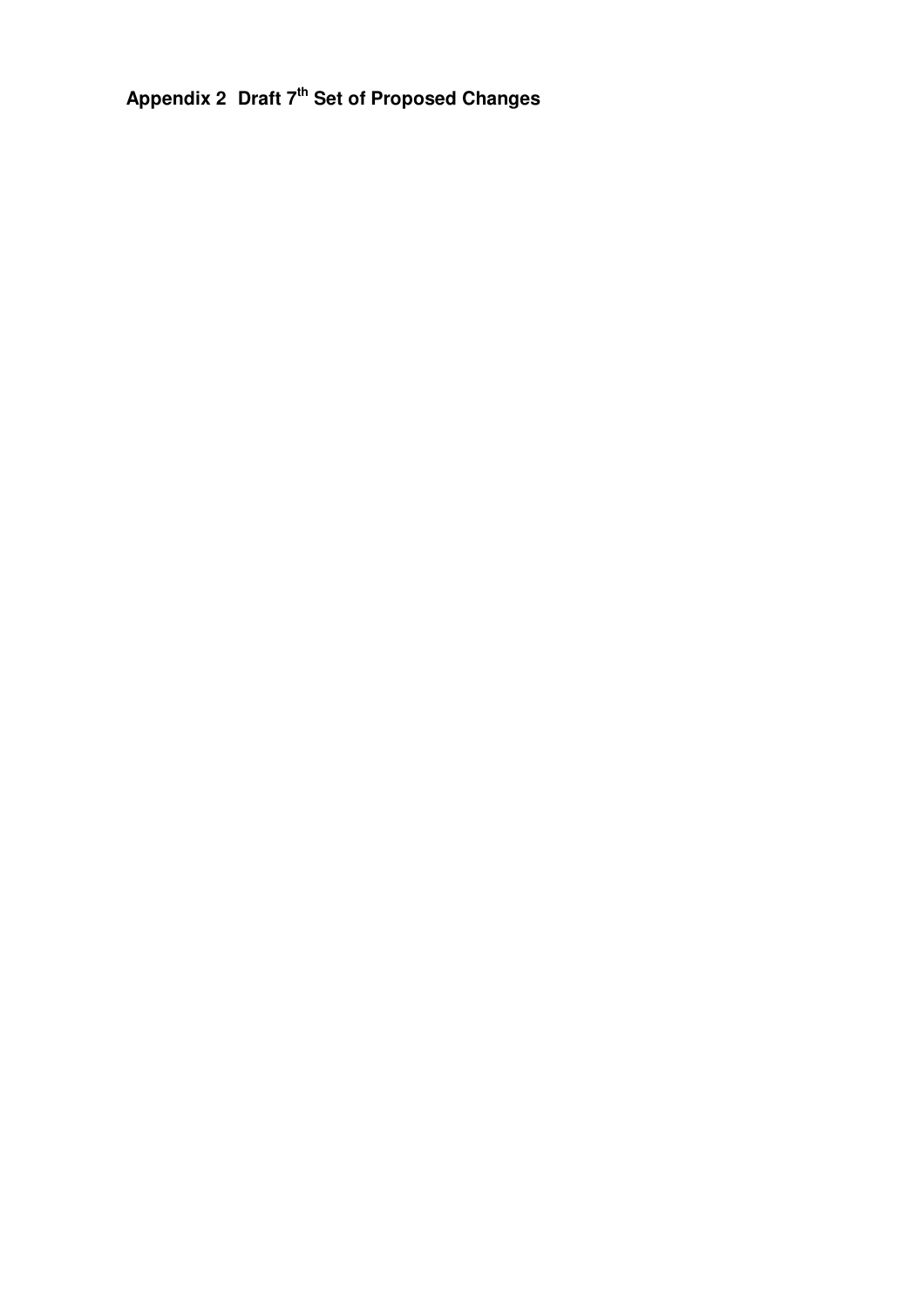**Appendix 2 Draft 7 th Set of Proposed Changes**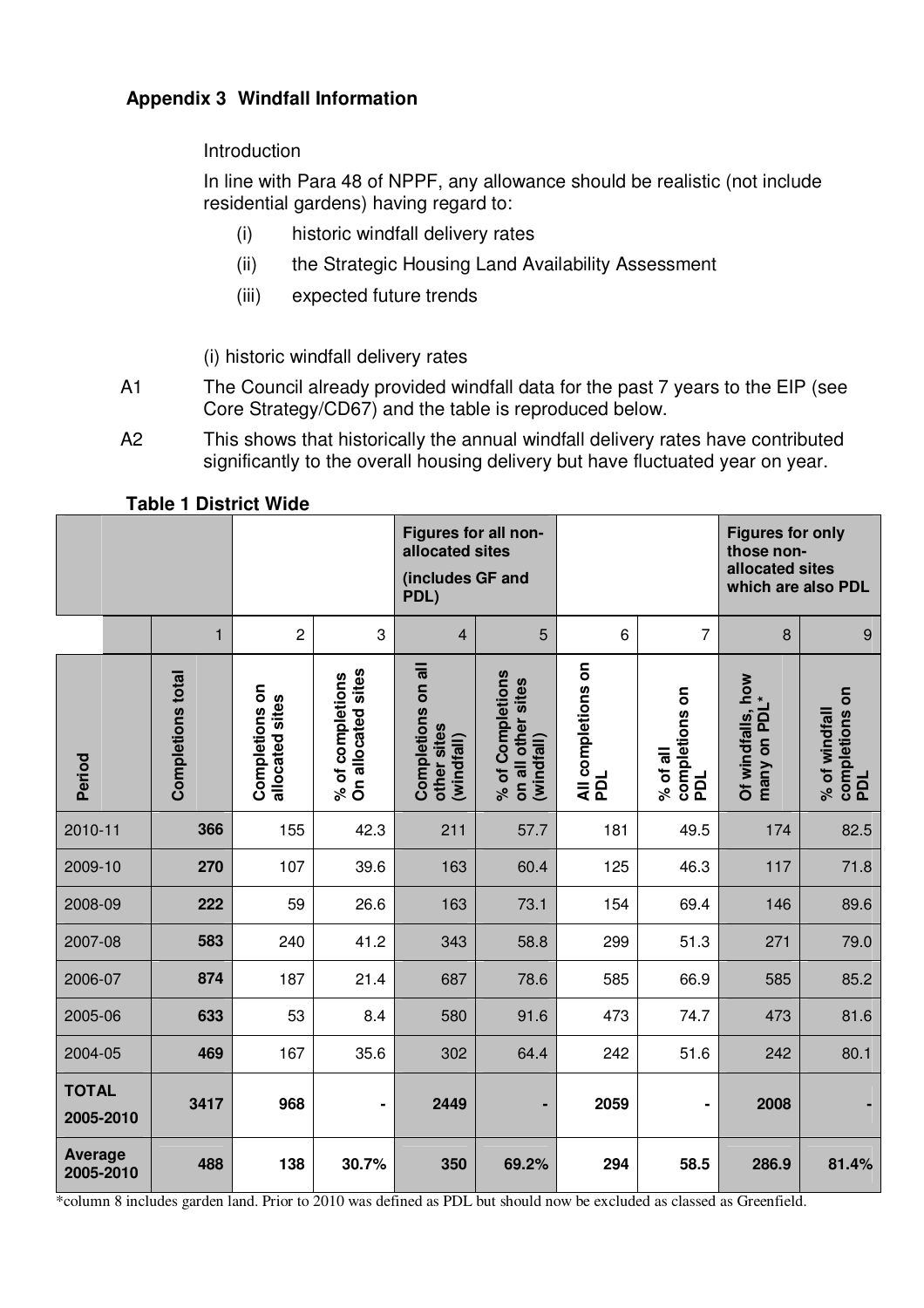#### **Appendix 3 Windfall Information**

#### Introduction

In line with Para 48 of NPPF, any allowance should be realistic (not include residential gardens) having regard to:

- (i) historic windfall delivery rates
- (ii) the Strategic Housing Land Availability Assessment
- (iii) expected future trends

(i) historic windfall delivery rates

- A1 The Council already provided windfall data for the past 7 years to the EIP (see Core Strategy/CD67) and the table is reproduced below.
- A2 This shows that historically the annual windfall delivery rates have contributed significantly to the overall housing delivery but have fluctuated year on year.

|                             |                          |                                   |                                        | Figures for all non-<br>allocated sites<br>(includes GF and<br>PDL) |                                                      |                           |                                   | <b>Figures for only</b><br>those non-<br>allocated sites<br>which are also PDL |                                        |
|-----------------------------|--------------------------|-----------------------------------|----------------------------------------|---------------------------------------------------------------------|------------------------------------------------------|---------------------------|-----------------------------------|--------------------------------------------------------------------------------|----------------------------------------|
|                             | $\mathbf{1}$             | $\overline{c}$                    | 3                                      | $\overline{4}$                                                      | 5                                                    | 6                         | $\overline{7}$                    | $\boldsymbol{8}$                                                               | $\boldsymbol{9}$                       |
| Period                      | <b>Completions total</b> | Completions on<br>allocated sites | On allocated sites<br>% of completions | Completions on all<br>other sites<br>(windfall)                     | % of Completions<br>on all other sites<br>(windfall) | All completions on<br>PDL | completions on<br>PDL<br>% of all | Of windfalls, how<br>many on PDL*                                              | completions on<br>% of windfall<br>PDL |
| 2010-11                     | 366                      | 155                               | 42.3                                   | 211                                                                 | 57.7                                                 | 181                       | 49.5                              | 174                                                                            | 82.5                                   |
| 2009-10                     | 270                      | 107                               | 39.6                                   | 163                                                                 | 60.4                                                 | 125                       | 46.3                              | 117                                                                            | 71.8                                   |
| 2008-09                     | 222                      | 59                                | 26.6                                   | 163                                                                 | 73.1                                                 | 154                       | 69.4                              | 146                                                                            | 89.6                                   |
| 2007-08                     | 583                      | 240                               | 41.2                                   | 343                                                                 | 58.8                                                 | 299                       | 51.3                              | 271                                                                            | 79.0                                   |
| 2006-07                     | 874                      | 187                               | 21.4                                   | 687                                                                 | 78.6                                                 | 585                       | 66.9                              | 585                                                                            | 85.2                                   |
| 2005-06                     | 633                      | 53                                | 8.4                                    | 580                                                                 | 91.6                                                 | 473                       | 74.7                              | 473                                                                            | 81.6                                   |
| 2004-05                     | 469                      | 167                               | 35.6                                   | 302                                                                 | 64.4                                                 | 242                       | 51.6                              | 242                                                                            | 80.1                                   |
| <b>TOTAL</b><br>2005-2010   | 3417                     | 968                               | $\blacksquare$                         | 2449                                                                | -                                                    | 2059                      | -                                 | 2008                                                                           |                                        |
| <b>Average</b><br>2005-2010 | 488                      | 138                               | 30.7%                                  | 350                                                                 | 69.2%                                                | 294                       | 58.5                              | 286.9                                                                          | 81.4%                                  |

#### **Table 1 District Wide**

\*column 8 includes garden land. Prior to 2010 was defined as PDL but should now be excluded as classed as Greenfield.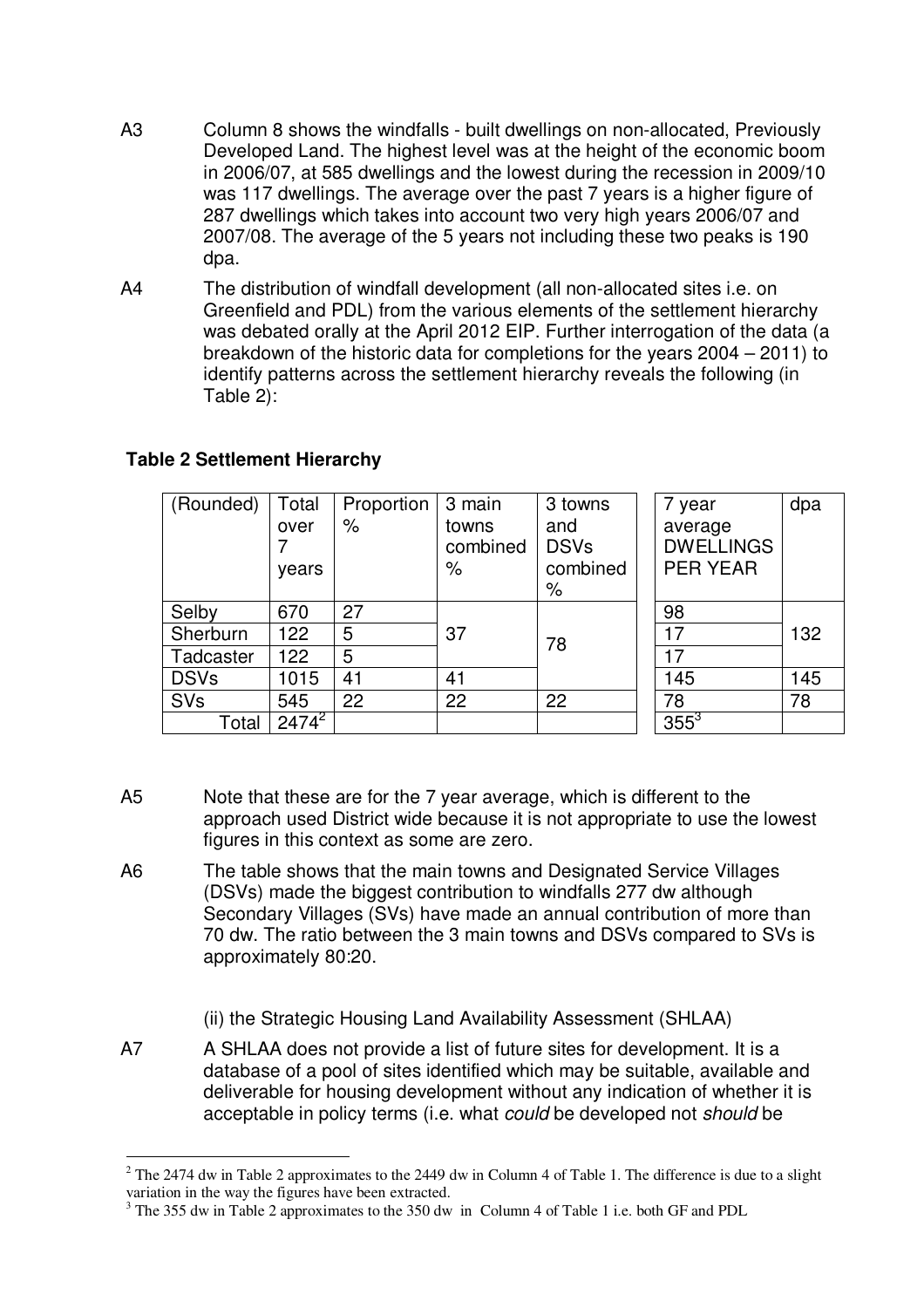- A3 Column 8 shows the windfalls built dwellings on non-allocated, Previously Developed Land. The highest level was at the height of the economic boom in 2006/07, at 585 dwellings and the lowest during the recession in 2009/10 was 117 dwellings. The average over the past 7 years is a higher figure of 287 dwellings which takes into account two very high years 2006/07 and 2007/08. The average of the 5 years not including these two peaks is 190 dpa.
- A4 The distribution of windfall development (all non-allocated sites i.e. on Greenfield and PDL) from the various elements of the settlement hierarchy was debated orally at the April 2012 EIP. Further interrogation of the data (a breakdown of the historic data for completions for the years 2004 – 2011) to identify patterns across the settlement hierarchy reveals the following (in Table 2):

| (Rounded)   | Total                 | Proportion | 3 main   | 3 towns     | 7 year           | dpa |
|-------------|-----------------------|------------|----------|-------------|------------------|-----|
|             | over                  | $\%$       | towns    | and         | average          |     |
|             |                       |            | combined | <b>DSVs</b> | <b>DWELLINGS</b> |     |
|             | years                 |            | %        | combined    | <b>PER YEAR</b>  |     |
|             |                       |            |          | %           |                  |     |
| Selby       | 670                   | 27         |          |             | 98               |     |
| Sherburn    | 122                   | 5          | 37       | 78          | 17               | 132 |
| Tadcaster   | 122                   | 5          |          |             | 17               |     |
| <b>DSVs</b> | 1015                  | 41         | 41       |             | 145              | 145 |
| SVs         | 545                   | 22         | 22       | 22          | 78               | 78  |
| Total       | $247\overline{4}^{2}$ |            |          |             | $355^3$          |     |

## **Table 2 Settlement Hierarchy**

- A5 Note that these are for the 7 year average, which is different to the approach used District wide because it is not appropriate to use the lowest figures in this context as some are zero.
- A6 The table shows that the main towns and Designated Service Villages (DSVs) made the biggest contribution to windfalls 277 dw although Secondary Villages (SVs) have made an annual contribution of more than 70 dw. The ratio between the 3 main towns and DSVs compared to SVs is approximately 80:20.
	- (ii) the Strategic Housing Land Availability Assessment (SHLAA)
- A7 A SHLAA does not provide a list of future sites for development. It is a database of a pool of sites identified which may be suitable, available and deliverable for housing development without any indication of whether it is acceptable in policy terms (i.e. what *could* be developed not *should* be

 $2$  The 2474 dw in Table 2 approximates to the 2449 dw in Column 4 of Table 1. The difference is due to a slight variation in the way the figures have been extracted.

<sup>&</sup>lt;sup>3</sup> The 355 dw in Table 2 approximates to the 350 dw in Column 4 of Table 1 i.e. both GF and PDL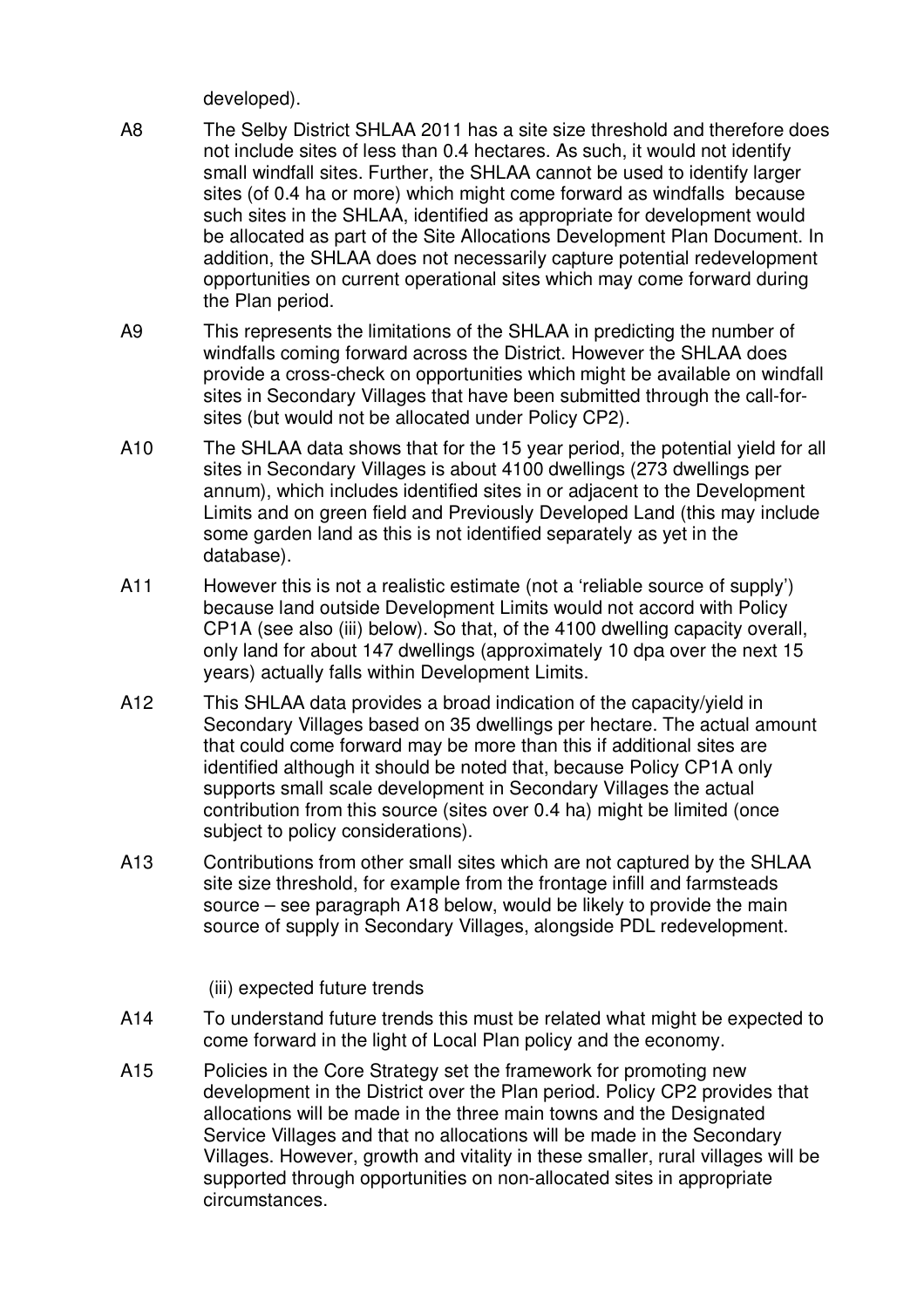developed).

- A8 The Selby District SHLAA 2011 has a site size threshold and therefore does not include sites of less than 0.4 hectares. As such, it would not identify small windfall sites. Further, the SHLAA cannot be used to identify larger sites (of 0.4 ha or more) which might come forward as windfalls because such sites in the SHLAA, identified as appropriate for development would be allocated as part of the Site Allocations Development Plan Document. In addition, the SHLAA does not necessarily capture potential redevelopment opportunities on current operational sites which may come forward during the Plan period.
- A9 This represents the limitations of the SHLAA in predicting the number of windfalls coming forward across the District. However the SHLAA does provide a cross-check on opportunities which might be available on windfall sites in Secondary Villages that have been submitted through the call-forsites (but would not be allocated under Policy CP2).
- A10 The SHLAA data shows that for the 15 year period, the potential yield for all sites in Secondary Villages is about 4100 dwellings (273 dwellings per annum), which includes identified sites in or adjacent to the Development Limits and on green field and Previously Developed Land (this may include some garden land as this is not identified separately as yet in the database).
- A11 However this is not a realistic estimate (not a 'reliable source of supply') because land outside Development Limits would not accord with Policy CP1A (see also (iii) below). So that, of the 4100 dwelling capacity overall, only land for about 147 dwellings (approximately 10 dpa over the next 15 years) actually falls within Development Limits.
- A12 This SHLAA data provides a broad indication of the capacity/yield in Secondary Villages based on 35 dwellings per hectare. The actual amount that could come forward may be more than this if additional sites are identified although it should be noted that, because Policy CP1A only supports small scale development in Secondary Villages the actual contribution from this source (sites over 0.4 ha) might be limited (once subject to policy considerations).
- A13 Contributions from other small sites which are not captured by the SHLAA site size threshold, for example from the frontage infill and farmsteads source – see paragraph A18 below, would be likely to provide the main source of supply in Secondary Villages, alongside PDL redevelopment.

(iii) expected future trends

- A14 To understand future trends this must be related what might be expected to come forward in the light of Local Plan policy and the economy.
- A15 Policies in the Core Strategy set the framework for promoting new development in the District over the Plan period. Policy CP2 provides that allocations will be made in the three main towns and the Designated Service Villages and that no allocations will be made in the Secondary Villages. However, growth and vitality in these smaller, rural villages will be supported through opportunities on non-allocated sites in appropriate circumstances.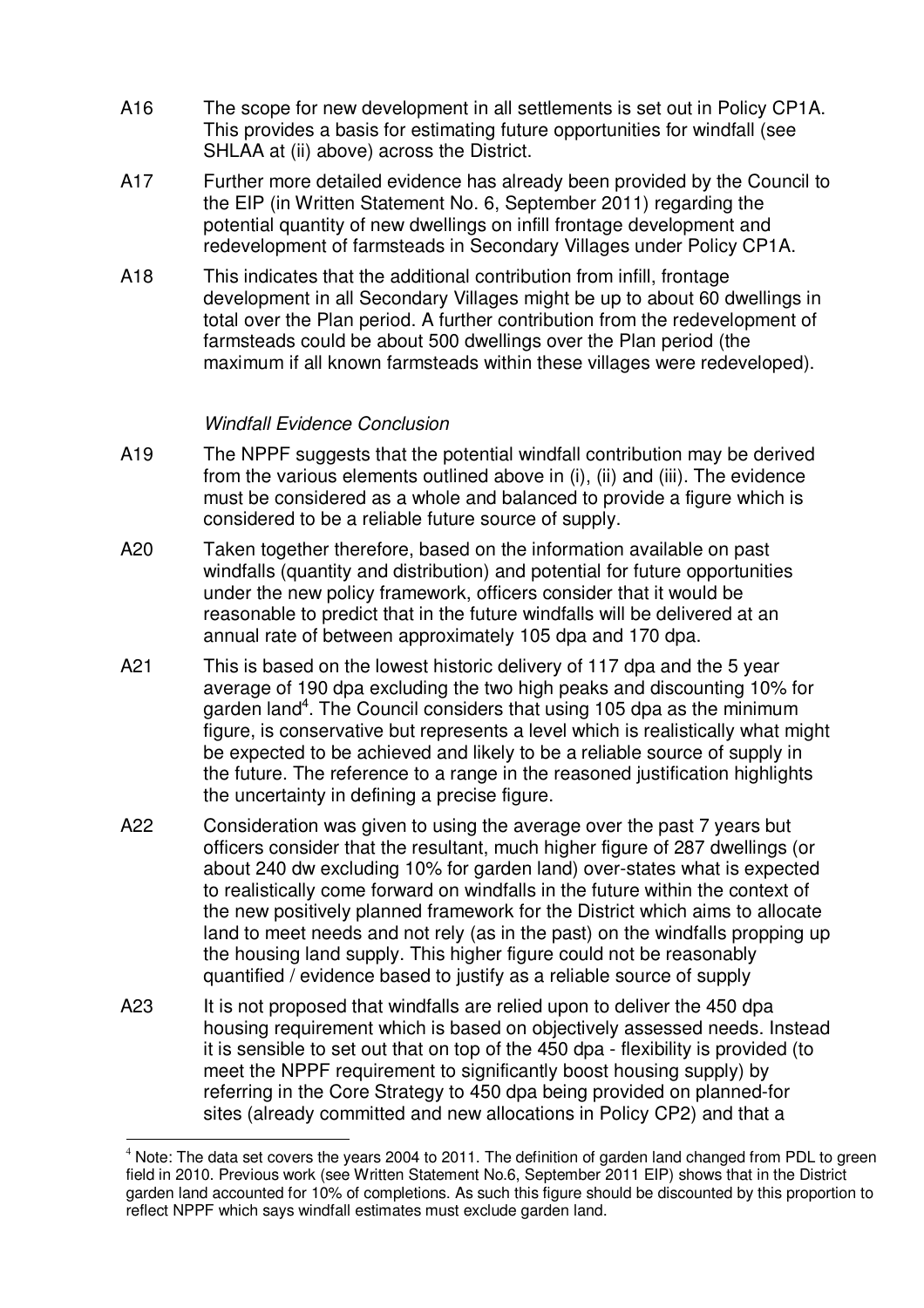- A16 The scope for new development in all settlements is set out in Policy CP1A. This provides a basis for estimating future opportunities for windfall (see SHLAA at (ii) above) across the District.
- A17 Further more detailed evidence has already been provided by the Council to the EIP (in Written Statement No. 6, September 2011) regarding the potential quantity of new dwellings on infill frontage development and redevelopment of farmsteads in Secondary Villages under Policy CP1A.
- A18 This indicates that the additional contribution from infill, frontage development in all Secondary Villages might be up to about 60 dwellings in total over the Plan period. A further contribution from the redevelopment of farmsteads could be about 500 dwellings over the Plan period (the maximum if all known farmsteads within these villages were redeveloped).

#### *Windfall Evidence Conclusion*

- A19 The NPPF suggests that the potential windfall contribution may be derived from the various elements outlined above in (i), (ii) and (iii). The evidence must be considered as a whole and balanced to provide a figure which is considered to be a reliable future source of supply.
- A20 Taken together therefore, based on the information available on past windfalls (quantity and distribution) and potential for future opportunities under the new policy framework, officers consider that it would be reasonable to predict that in the future windfalls will be delivered at an annual rate of between approximately 105 dpa and 170 dpa.
- A21 This is based on the lowest historic delivery of 117 dpa and the 5 year average of 190 dpa excluding the two high peaks and discounting 10% for garden land<sup>4</sup>. The Council considers that using 105 dpa as the minimum figure, is conservative but represents a level which is realistically what might be expected to be achieved and likely to be a reliable source of supply in the future. The reference to a range in the reasoned justification highlights the uncertainty in defining a precise figure.
- A22 Consideration was given to using the average over the past 7 years but officers consider that the resultant, much higher figure of 287 dwellings (or about 240 dw excluding 10% for garden land) over-states what is expected to realistically come forward on windfalls in the future within the context of the new positively planned framework for the District which aims to allocate land to meet needs and not rely (as in the past) on the windfalls propping up the housing land supply. This higher figure could not be reasonably quantified / evidence based to justify as a reliable source of supply
- A23 It is not proposed that windfalls are relied upon to deliver the 450 dpa housing requirement which is based on objectively assessed needs. Instead it is sensible to set out that on top of the 450 dpa - flexibility is provided (to meet the NPPF requirement to significantly boost housing supply) by referring in the Core Strategy to 450 dpa being provided on planned-for sites (already committed and new allocations in Policy CP2) and that a

 $4$  Note: The data set covers the years 2004 to 2011. The definition of garden land changed from PDL to green field in 2010. Previous work (see Written Statement No.6, September 2011 EIP) shows that in the District garden land accounted for 10% of completions. As such this figure should be discounted by this proportion to reflect NPPF which says windfall estimates must exclude garden land.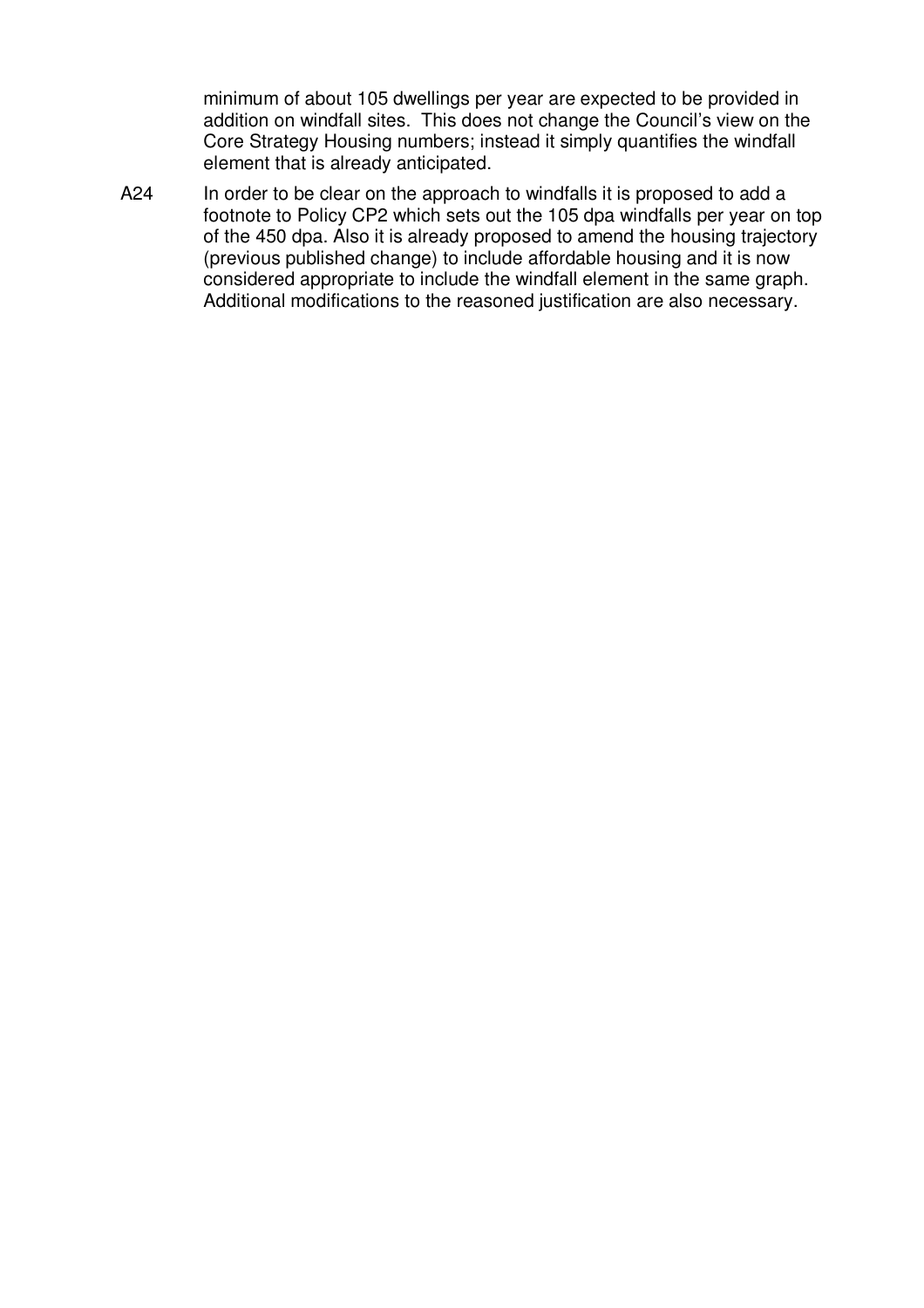minimum of about 105 dwellings per year are expected to be provided in addition on windfall sites. This does not change the Council's view on the Core Strategy Housing numbers; instead it simply quantifies the windfall element that is already anticipated.

A24 In order to be clear on the approach to windfalls it is proposed to add a footnote to Policy CP2 which sets out the 105 dpa windfalls per year on top of the 450 dpa. Also it is already proposed to amend the housing trajectory (previous published change) to include affordable housing and it is now considered appropriate to include the windfall element in the same graph. Additional modifications to the reasoned justification are also necessary.